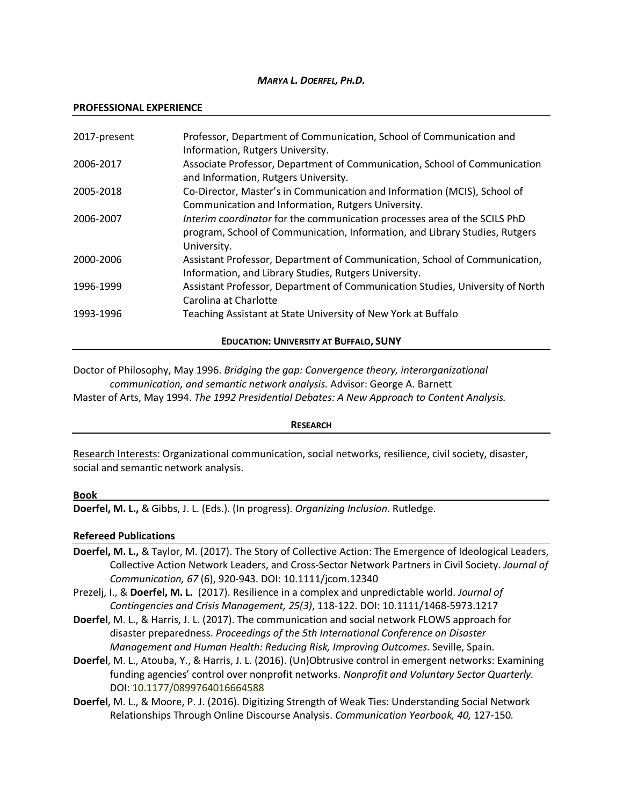### *MARYA L. DOERFEL, PH.D.*

#### **PROFESSIONAL EXPERIENCE**

| 2017-present                                  | Professor, Department of Communication, School of Communication and<br>Information, Rutgers University.                                                                 |  |
|-----------------------------------------------|-------------------------------------------------------------------------------------------------------------------------------------------------------------------------|--|
| 2006-2017                                     | Associate Professor, Department of Communication, School of Communication<br>and Information, Rutgers University.                                                       |  |
| 2005-2018                                     | Co-Director, Master's in Communication and Information (MCIS), School of<br>Communication and Information, Rutgers University.                                          |  |
| 2006-2007                                     | Interim coordinator for the communication processes area of the SCILS PhD<br>program, School of Communication, Information, and Library Studies, Rutgers<br>University. |  |
| 2000-2006                                     | Assistant Professor, Department of Communication, School of Communication,<br>Information, and Library Studies, Rutgers University.                                     |  |
| 1996-1999                                     | Assistant Professor, Department of Communication Studies, University of North<br>Carolina at Charlotte                                                                  |  |
| 1993-1996                                     | Teaching Assistant at State University of New York at Buffalo                                                                                                           |  |
| <b>EDUCATION: UNIVERSITY AT BUFFALO, SUNY</b> |                                                                                                                                                                         |  |

Doctor of Philosophy, May 1996. *Bridging the gap: Convergence theory, interorganizational communication, and semantic network analysis.* Advisor: George A. Barnett

Master of Arts, May 1994. *The 1992 Presidential Debates: A New Approach to Content Analysis.*

### **RESEARCH**

Research Interests: Organizational communication, social networks, resilience, civil society, disaster, social and semantic network analysis.

### **Book**

**Doerfel, M. L.,** & Gibbs, J. L. (Eds.). (In progress). *Organizing Inclusion*. Rutledge.

### **Refereed Publications**

- **Doerfel, M. L.,** & Taylor, M. (2017). The Story of Collective Action: The Emergence of Ideological Leaders, Collective Action Network Leaders, and Cross-Sector Network Partners in Civil Society. *Journal of Communication, 67* (6), 920-943. DOI: 10.1111/jcom.12340
- Prezelj, I., & **Doerfel, M. L.** (2017). Resilience in a complex and unpredictable world. *Journal of Contingencies and Crisis Management, 25(3)*, 118-122. DOI: 10.1111/1468-5973.1217
- **Doerfel**, M. L., & Harris, J. L. (2017). The communication and social network FLOWS approach for disaster preparedness. *Proceedings of the 5th International Conference on Disaster Management and Human Health: Reducing Risk, Improving Outcomes*. Seville, Spain.
- **Doerfel**, M. L., Atouba, Y., & Harris, J. L. (2016). (Un)Obtrusive control in emergent networks: Examining funding agencies' control over nonprofit networks. *Nonprofit and Voluntary Sector Quarterly.*  DOI: 10.1177/0899764016664588
- **Doerfel**, M. L., & Moore, P. J. (2016). Digitizing Strength of Weak Ties: Understanding Social Network Relationships Through Online Discourse Analysis. *Communication Yearbook, 40,* 127-150*.*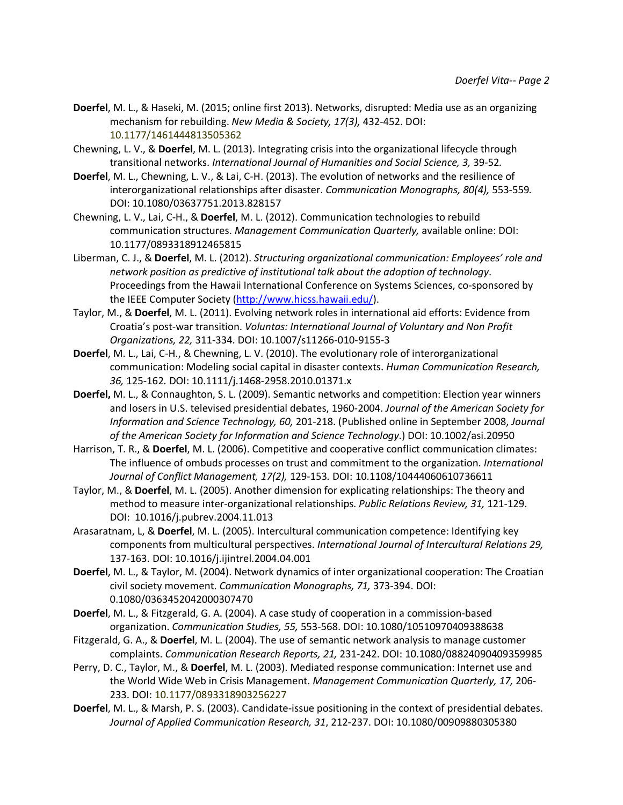- **Doerfel**, M. L., & Haseki, M. (2015; online first 2013). Networks, disrupted: Media use as an organizing mechanism for rebuilding. *New Media & Society, 17(3),* 432-452. DOI: 10.1177/1461444813505362
- Chewning, L. V., & **Doerfel**, M. L. (2013). Integrating crisis into the organizational lifecycle through transitional networks. *International Journal of Humanities and Social Science, 3,* 39-52*.*
- **Doerfel**, M. L., Chewning, L. V., & Lai, C-H. (2013). The evolution of networks and the resilience of interorganizational relationships after disaster. *Communication Monographs, 80(4),* 553-559*.* DOI: 10.1080/03637751.2013.828157
- Chewning, L. V., Lai, C-H., & **Doerfel**, M. L. (2012). Communication technologies to rebuild communication structures. *Management Communication Quarterly,* available online: DOI: 10.1177/0893318912465815
- Liberman, C. J., & **Doerfel**, M. L. (2012). *Structuring organizational communication: Employees' role and network position as predictive of institutional talk about the adoption of technology*. Proceedings from the Hawaii International Conference on Systems Sciences, co-sponsored by the IEEE Computer Society (http://www.hicss.hawaii.edu/).
- Taylor, M., & **Doerfel**, M. L. (2011). Evolving network roles in international aid efforts: Evidence from Croatia's post-war transition. *Voluntas: International Journal of Voluntary and Non Profit Organizations, 22,* 311-334. DOI: 10.1007/s11266-010-9155-3
- **Doerfel**, M. L., Lai, C-H., & Chewning, L. V. (2010). The evolutionary role of interorganizational communication: Modeling social capital in disaster contexts. *Human Communication Research, 36,* 125-162*.* DOI: 10.1111/j.1468-2958.2010.01371.x
- **Doerfel,** M. L., & Connaughton, S. L. (2009). Semantic networks and competition: Election year winners and losers in U.S. televised presidential debates, 1960-2004. *Journal of the American Society for Information and Science Technology, 60,* 201-218. (Published online in September 2008, *Journal of the American Society for Information and Science Technology*.) DOI: 10.1002/asi.20950
- Harrison, T. R., & **Doerfel**, M. L. (2006). Competitive and cooperative conflict communication climates: The influence of ombuds processes on trust and commitment to the organization. *International Journal of Conflict Management, 17(2),* 129-153*.* DOI: 10.1108/10444060610736611
- Taylor, M., & **Doerfel**, M. L. (2005). Another dimension for explicating relationships: The theory and method to measure inter-organizational relationships. *Public Relations Review, 31,* 121-129. DOI: 10.1016/j.pubrev.2004.11.013
- Arasaratnam, L, & **Doerfel**, M. L. (2005). Intercultural communication competence: Identifying key components from multicultural perspectives. *International Journal of Intercultural Relations 29,*  137-163. DOI: 10.1016/j.ijintrel.2004.04.001
- **Doerfel**, M. L., & Taylor, M. (2004). Network dynamics of inter organizational cooperation: The Croatian civil society movement. *Communication Monographs, 71,* 373-394. DOI: 0.1080/0363452042000307470
- **Doerfel**, M. L., & Fitzgerald, G. A. (2004). A case study of cooperation in a commission-based organization. *Communication Studies, 55,* 553-568. DOI: 10.1080/10510970409388638
- Fitzgerald, G. A., & **Doerfel**, M. L. (2004). The use of semantic network analysis to manage customer complaints. *Communication Research Reports, 21,* 231-242. DOI: 10.1080/08824090409359985
- Perry, D. C., Taylor, M., & **Doerfel**, M. L. (2003). Mediated response communication: Internet use and the World Wide Web in Crisis Management. *Management Communication Quarterly, 17,* 206- 233. DOI: 10.1177/0893318903256227
- **Doerfel**, M. L., & Marsh, P. S. (2003). Candidate-issue positioning in the context of presidential debates. *Journal of Applied Communication Research, 31*, 212-237. DOI: 10.1080/00909880305380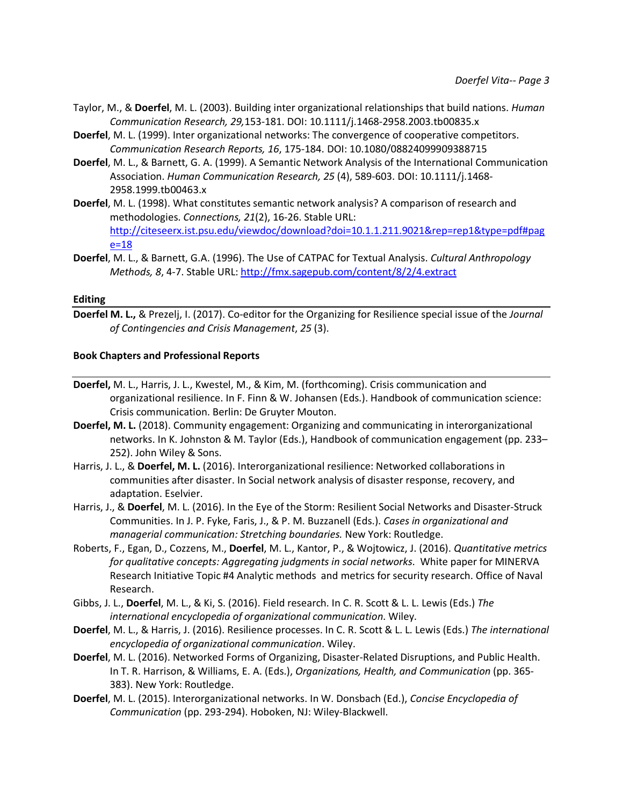- Taylor, M., & **Doerfel**, M. L. (2003). Building inter organizational relationships that build nations. *Human Communication Research, 29,*153-181. DOI: 10.1111/j.1468-2958.2003.tb00835.x
- **Doerfel**, M. L. (1999). Inter organizational networks: The convergence of cooperative competitors. *Communication Research Reports, 16*, 175-184. DOI: 10.1080/08824099909388715
- **Doerfel**, M. L., & Barnett, G. A. (1999). A Semantic Network Analysis of the International Communication Association. *Human Communication Research, 25* (4), 589-603. DOI: 10.1111/j.1468- 2958.1999.tb00463.x
- **Doerfel**, M. L. (1998). What constitutes semantic network analysis? A comparison of research and methodologies. *Connections, 21*(2), 16-26. Stable URL: http://citeseerx.ist.psu.edu/viewdoc/download?doi=10.1.1.211.9021&rep=rep1&type=pdf#pag e=18
- **Doerfel**, M. L., & Barnett, G.A. (1996). The Use of CATPAC for Textual Analysis. *Cultural Anthropology Methods, 8*, 4-7. Stable URL: http://fmx.sagepub.com/content/8/2/4.extract

### **Editing**

**Doerfel M. L.,** & Prezelj, I. (2017). Co-editor for the Organizing for Resilience special issue of the *Journal of Contingencies and Crisis Management*, *25* (3).

### **Book Chapters and Professional Reports**

- **Doerfel,** M. L., Harris, J. L., Kwestel, M., & Kim, M. (forthcoming). Crisis communication and organizational resilience. In F. Finn & W. Johansen (Eds.). Handbook of communication science: Crisis communication. Berlin: De Gruyter Mouton.
- **Doerfel, M. L.** (2018). Community engagement: Organizing and communicating in interorganizational networks. In K. Johnston & M. Taylor (Eds.), Handbook of communication engagement (pp. 233– 252). John Wiley & Sons.
- Harris, J. L., & **Doerfel, M. L.** (2016). Interorganizational resilience: Networked collaborations in communities after disaster. In Social network analysis of disaster response, recovery, and adaptation. Eselvier.
- Harris, J., & **Doerfel**, M. L. (2016). In the Eye of the Storm: Resilient Social Networks and Disaster-Struck Communities. In J. P. Fyke, Faris, J., & P. M. Buzzanell (Eds.). *Cases in organizational and managerial communication: Stretching boundaries.* New York: Routledge.
- Roberts, F., Egan, D., Cozzens, M., **Doerfel**, M. L., Kantor, P., & Wojtowicz, J. (2016). *Quantitative metrics for qualitative concepts: Aggregating judgments in social networks*. White paper for MINERVA Research Initiative Topic #4 Analytic methods and metrics for security research. Office of Naval Research.
- Gibbs, J. L., **Doerfel**, M. L., & Ki, S. (2016). Field research. In C. R. Scott & L. L. Lewis (Eds.) *The international encyclopedia of organizational communication*. Wiley.
- **Doerfel**, M. L., & Harris, J. (2016). Resilience processes. In C. R. Scott & L. L. Lewis (Eds.) *The international encyclopedia of organizational communication*. Wiley.
- **Doerfel**, M. L. (2016). Networked Forms of Organizing, Disaster-Related Disruptions, and Public Health. In T. R. Harrison, & Williams, E. A. (Eds.), *Organizations, Health, and Communication* (pp. 365- 383). New York: Routledge.
- **Doerfel**, M. L. (2015). Interorganizational networks. In W. Donsbach (Ed.), *Concise Encyclopedia of Communication* (pp. 293-294). Hoboken, NJ: Wiley-Blackwell.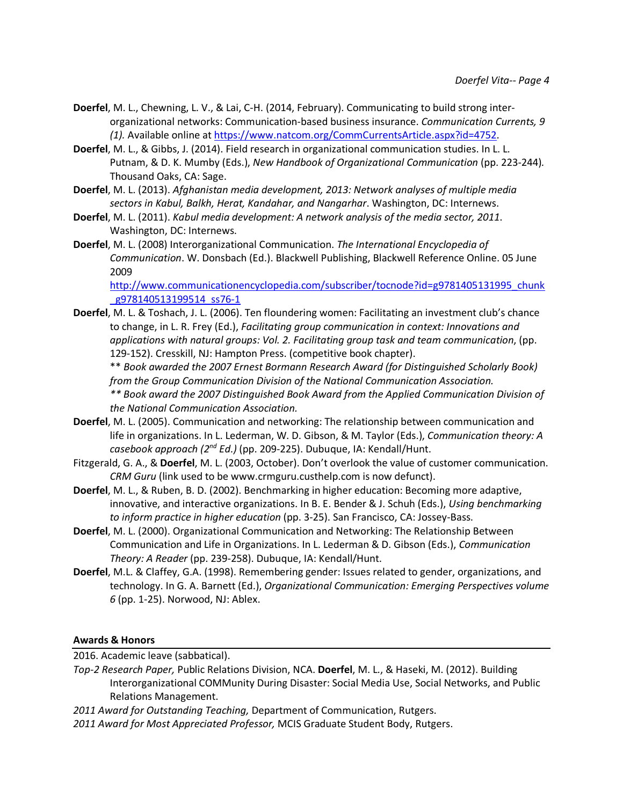- **Doerfel**, M. L., Chewning, L. V., & Lai, C-H. (2014, February). Communicating to build strong interorganizational networks: Communication-based business insurance. *Communication Currents, 9 (1).* Available online at https://www.natcom.org/CommCurrentsArticle.aspx?id=4752.
- **Doerfel**, M. L., & Gibbs, J. (2014). Field research in organizational communication studies. In L. L. Putnam, & D. K. Mumby (Eds.), *New Handbook of Organizational Communication* (pp. 223-244). Thousand Oaks, CA: Sage.
- **Doerfel**, M. L. (2013). *Afghanistan media development, 2013: Network analyses of multiple media sectors in Kabul, Balkh, Herat, Kandahar, and Nangarhar*. Washington, DC: Internews.
- **Doerfel**, M. L. (2011). *Kabul media development: A network analysis of the media sector, 2011*. Washington, DC: Internews.
- **Doerfel**, M. L. (2008) Interorganizational Communication. *The International Encyclopedia of Communication*. W. Donsbach (Ed.). Blackwell Publishing, Blackwell Reference Online. 05 June 2009

http://www.communicationencyclopedia.com/subscriber/tocnode?id=g9781405131995\_chunk g978140513199514 ss76-1

**Doerfel**, M. L. & Toshach, J. L. (2006). Ten floundering women: Facilitating an investment club's chance to change, in L. R. Frey (Ed.), *Facilitating group communication in context: Innovations and applications with natural groups: Vol. 2. Facilitating group task and team communication*, (pp. 129-152). Cresskill, NJ: Hampton Press. (competitive book chapter).

\*\* *Book awarded the 2007 Ernest Bormann Research Award (for Distinguished Scholarly Book) from the Group Communication Division of the National Communication Association.*

*\*\* Book award the 2007 Distinguished Book Award from the Applied Communication Division of the National Communication Association.*

- **Doerfel**, M. L. (2005). Communication and networking: The relationship between communication and life in organizations. In L. Lederman, W. D. Gibson, & M. Taylor (Eds.), *Communication theory: A casebook approach (2nd Ed.)* (pp. 209-225). Dubuque, IA: Kendall/Hunt.
- Fitzgerald, G. A., & **Doerfel**, M. L. (2003, October). Don't overlook the value of customer communication. *CRM Guru* (link used to be www.crmguru.custhelp.com is now defunct).
- **Doerfel**, M. L., & Ruben, B. D. (2002). Benchmarking in higher education: Becoming more adaptive, innovative, and interactive organizations. In B. E. Bender & J. Schuh (Eds.), *Using benchmarking to inform practice in higher education* (pp. 3-25). San Francisco, CA: Jossey-Bass.
- **Doerfel**, M. L. (2000). Organizational Communication and Networking: The Relationship Between Communication and Life in Organizations. In L. Lederman & D. Gibson (Eds.), *Communication Theory: A Reader* (pp. 239-258). Dubuque, IA: Kendall/Hunt.
- **Doerfel**, M.L. & Claffey, G.A. (1998). Remembering gender: Issues related to gender, organizations, and technology. In G. A. Barnett (Ed.), *Organizational Communication: Emerging Perspectives volume 6* (pp. 1-25). Norwood, NJ: Ablex.

# **Awards & Honors**

2016. Academic leave (sabbatical).

*Top-2 Research Paper,* Public Relations Division, NCA. **Doerfel**, M. L., & Haseki, M. (2012). Building Interorganizational COMMunity During Disaster: Social Media Use, Social Networks, and Public Relations Management.

*2011 Award for Outstanding Teaching,* Department of Communication, Rutgers.

*2011 Award for Most Appreciated Professor,* MCIS Graduate Student Body, Rutgers.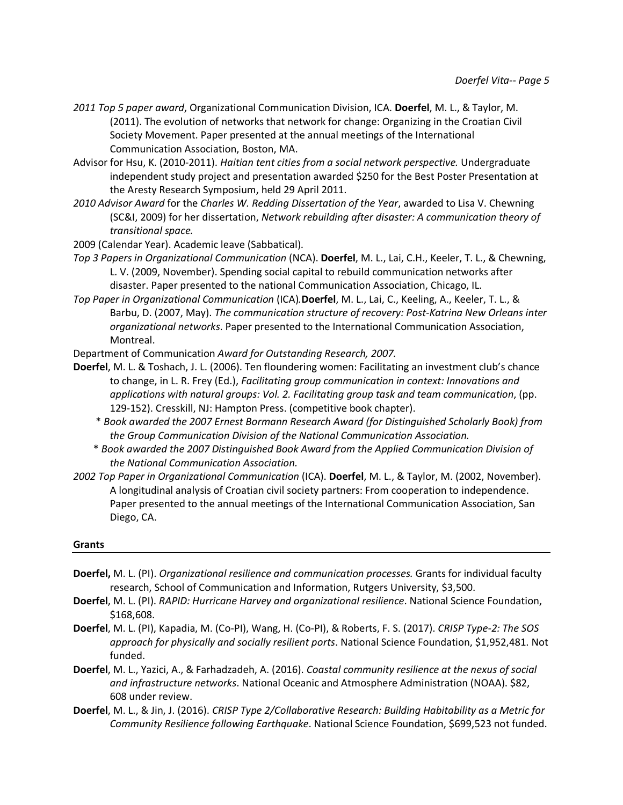- *2011 Top 5 paper award*, Organizational Communication Division, ICA. **Doerfel**, M. L., & Taylor, M. (2011). The evolution of networks that network for change: Organizing in the Croatian Civil Society Movement. Paper presented at the annual meetings of the International Communication Association, Boston, MA.
- Advisor for Hsu, K. (2010-2011). *Haitian tent cities from a social network perspective.* Undergraduate independent study project and presentation awarded \$250 for the Best Poster Presentation at the Aresty Research Symposium, held 29 April 2011.
- *2010 Advisor Award* for the *Charles W. Redding Dissertation of the Year*, awarded to Lisa V. Chewning (SC&I, 2009) for her dissertation, *Network rebuilding after disaster: A communication theory of transitional space.*
- 2009 (Calendar Year). Academic leave (Sabbatical).
- *Top 3 Papers in Organizational Communication* (NCA). **Doerfel**, M. L., Lai, C.H., Keeler, T. L., & Chewning, L. V. (2009, November). Spending social capital to rebuild communication networks after disaster. Paper presented to the national Communication Association, Chicago, IL.
- *Top Paper in Organizational Communication* (ICA)*.***Doerfel**, M. L., Lai, C., Keeling, A., Keeler, T. L., & Barbu, D. (2007, May). *The communication structure of recovery: Post-Katrina New Orleans inter organizational networks*. Paper presented to the International Communication Association, Montreal.

Department of Communication *Award for Outstanding Research, 2007.*

- **Doerfel**, M. L. & Toshach, J. L. (2006). Ten floundering women: Facilitating an investment club's chance to change, in L. R. Frey (Ed.), *Facilitating group communication in context: Innovations and applications with natural groups: Vol. 2. Facilitating group task and team communication*, (pp. 129-152). Cresskill, NJ: Hampton Press. (competitive book chapter).
	- \* *Book awarded the 2007 Ernest Bormann Research Award (for Distinguished Scholarly Book) from the Group Communication Division of the National Communication Association.*
	- \* *Book awarded the 2007 Distinguished Book Award from the Applied Communication Division of the National Communication Association.*
- *2002 Top Paper in Organizational Communication* (ICA). **Doerfel**, M. L., & Taylor, M. (2002, November). A longitudinal analysis of Croatian civil society partners: From cooperation to independence. Paper presented to the annual meetings of the International Communication Association, San Diego, CA.

### **Grants**

- **Doerfel,** M. L. (PI). *Organizational resilience and communication processes.* Grants for individual faculty research, School of Communication and Information, Rutgers University, \$3,500.
- **Doerfel**, M. L. (PI). *RAPID: Hurricane Harvey and organizational resilience*. National Science Foundation, \$168,608.
- **Doerfel**, M. L. (PI), Kapadia, M. (Co-PI), Wang, H. (Co-PI), & Roberts, F. S. (2017). *CRISP Type-2: The SOS approach for physically and socially resilient ports*. National Science Foundation, \$1,952,481. Not funded.
- **Doerfel**, M. L., Yazici, A., & Farhadzadeh, A. (2016). *Coastal community resilience at the nexus of social and infrastructure networks*. National Oceanic and Atmosphere Administration (NOAA). \$82, 608 under review.
- **Doerfel**, M. L., & Jin, J. (2016). *CRISP Type 2/Collaborative Research: Building Habitability as a Metric for Community Resilience following Earthquake*. National Science Foundation, \$699,523 not funded.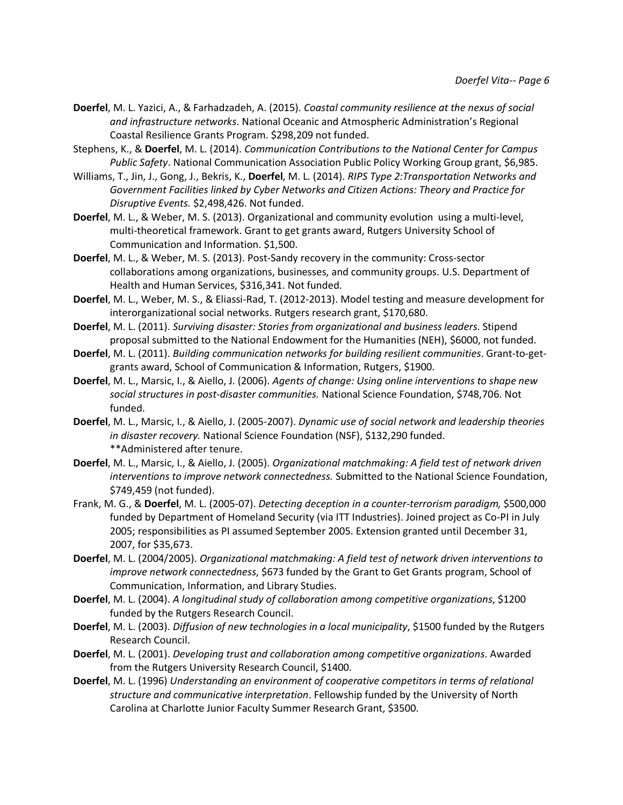- **Doerfel**, M. L. Yazici, A., & Farhadzadeh, A. (2015). *Coastal community resilience at the nexus of social and infrastructure networks*. National Oceanic and Atmospheric Administration's Regional Coastal Resilience Grants Program. \$298,209 not funded.
- Stephens, K., & **Doerfel**, M. L. (2014). *Communication Contributions to the National Center for Campus Public Safety*. National Communication Association Public Policy Working Group grant, \$6,985.
- Williams, T., Jin, J., Gong, J., Bekris, K., **Doerfel**, M. L. (2014). *RIPS Type 2:Transportation Networks and Government Facilities linked by Cyber Networks and Citizen Actions: Theory and Practice for Disruptive Events.* \$2,498,426. Not funded.
- **Doerfel**, M. L., & Weber, M. S. (2013). Organizational and community evolution using a multi-level, multi-theoretical framework. Grant to get grants award, Rutgers University School of Communication and Information. \$1,500.
- **Doerfel**, M. L., & Weber, M. S. (2013). Post-Sandy recovery in the community: Cross-sector collaborations among organizations, businesses, and community groups. U.S. Department of Health and Human Services, \$316,341. Not funded.
- **Doerfel**, M. L., Weber, M. S., & Eliassi-Rad, T. (2012-2013). Model testing and measure development for interorganizational social networks. Rutgers research grant, \$170,680.
- **Doerfel**, M. L. (2011). *Surviving disaster: Stories from organizational and business leaders*. Stipend proposal submitted to the National Endowment for the Humanities (NEH), \$6000, not funded.
- **Doerfel**, M. L. (2011). *Building communication networks for building resilient communities*. Grant-to-getgrants award, School of Communication & Information, Rutgers, \$1900.
- **Doerfel**, M. L., Marsic, I., & Aiello, J. (2006). *Agents of change: Using online interventions to shape new social structures in post-disaster communities.* National Science Foundation, \$748,706. Not funded.
- **Doerfel**, M. L., Marsic, I., & Aiello, J. (2005-2007). *Dynamic use of social network and leadership theories in disaster recovery.* National Science Foundation (NSF), \$132,290 funded. \*\*Administered after tenure.
- **Doerfel**, M. L., Marsic, I., & Aiello, J. (2005). *Organizational matchmaking: A field test of network driven interventions to improve network connectedness.* Submitted to the National Science Foundation, \$749,459 (not funded).
- Frank, M. G., & **Doerfel**, M. L. (2005-07). *Detecting deception in a counter-terrorism paradigm,* \$500,000 funded by Department of Homeland Security (via ITT Industries). Joined project as Co-PI in July 2005; responsibilities as PI assumed September 2005. Extension granted until December 31, 2007, for \$35,673.
- **Doerfel**, M. L. (2004/2005). *Organizational matchmaking: A field test of network driven interventions to improve network connectedness*, \$673 funded by the Grant to Get Grants program, School of Communication, Information, and Library Studies.
- **Doerfel**, M. L. (2004). *A longitudinal study of collaboration among competitive organizations*, \$1200 funded by the Rutgers Research Council.
- **Doerfel**, M. L. (2003). *Diffusion of new technologies in a local municipality*, \$1500 funded by the Rutgers Research Council.
- **Doerfel**, M. L. (2001). *Developing trust and collaboration among competitive organizations*. Awarded from the Rutgers University Research Council, \$1400.
- **Doerfel**, M. L. (1996) *Understanding an environment of cooperative competitors in terms of relational structure and communicative interpretation*. Fellowship funded by the University of North Carolina at Charlotte Junior Faculty Summer Research Grant, \$3500.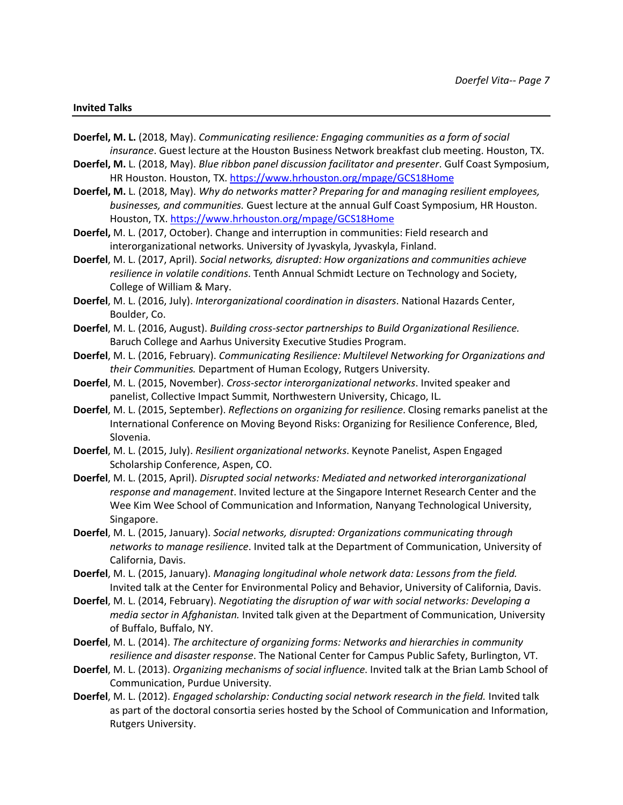#### **Invited Talks**

- **Doerfel, M. L.** (2018, May). *Communicating resilience: Engaging communities as a form of social insurance*. Guest lecture at the Houston Business Network breakfast club meeting. Houston, TX.
- **Doerfel, M.** L. (2018, May). *Blue ribbon panel discussion facilitator and presenter*. Gulf Coast Symposium, HR Houston. Houston, TX. https://www.hrhouston.org/mpage/GCS18Home
- **Doerfel, M.** L. (2018, May). *Why do networks matter? Preparing for and managing resilient employees, businesses, and communities.* Guest lecture at the annual Gulf Coast Symposium, HR Houston. Houston, TX. https://www.hrhouston.org/mpage/GCS18Home
- **Doerfel,** M. L. (2017, October). Change and interruption in communities: Field research and interorganizational networks. University of Jyvaskyla, Jyvaskyla, Finland.
- **Doerfel**, M. L. (2017, April). *Social networks, disrupted: How organizations and communities achieve resilience in volatile conditions*. Tenth Annual Schmidt Lecture on Technology and Society, College of William & Mary.
- **Doerfel**, M. L. (2016, July). *Interorganizational coordination in disasters*. National Hazards Center, Boulder, Co.
- **Doerfel**, M. L. (2016, August). *Building cross-sector partnerships to Build Organizational Resilience.* Baruch College and Aarhus University Executive Studies Program.
- **Doerfel**, M. L. (2016, February). *Communicating Resilience: Multilevel Networking for Organizations and their Communities.* Department of Human Ecology, Rutgers University.
- **Doerfel**, M. L. (2015, November). *Cross-sector interorganizational networks*. Invited speaker and panelist, Collective Impact Summit, Northwestern University, Chicago, IL.
- **Doerfel**, M. L. (2015, September). *Reflections on organizing for resilience*. Closing remarks panelist at the International Conference on Moving Beyond Risks: Organizing for Resilience Conference, Bled, Slovenia.
- **Doerfel**, M. L. (2015, July). *Resilient organizational networks*. Keynote Panelist, Aspen Engaged Scholarship Conference, Aspen, CO.
- **Doerfel**, M. L. (2015, April). *Disrupted social networks: Mediated and networked interorganizational response and management*. Invited lecture at the Singapore Internet Research Center and the Wee Kim Wee School of Communication and Information, Nanyang Technological University, Singapore.
- **Doerfel**, M. L. (2015, January). *Social networks, disrupted: Organizations communicating through networks to manage resilience*. Invited talk at the Department of Communication, University of California, Davis.
- **Doerfel**, M. L. (2015, January). *Managing longitudinal whole network data: Lessons from the field.* Invited talk at the Center for Environmental Policy and Behavior, University of California, Davis.
- **Doerfel**, M. L. (2014, February). *Negotiating the disruption of war with social networks: Developing a media sector in Afghanistan.* Invited talk given at the Department of Communication, University of Buffalo, Buffalo, NY.
- **Doerfel**, M. L. (2014). *The architecture of organizing forms: Networks and hierarchies in community resilience and disaster response*. The National Center for Campus Public Safety, Burlington, VT.
- **Doerfel**, M. L. (2013). *Organizing mechanisms of social influence*. Invited talk at the Brian Lamb School of Communication, Purdue University.
- **Doerfel**, M. L. (2012). *Engaged scholarship: Conducting social network research in the field.* Invited talk as part of the doctoral consortia series hosted by the School of Communication and Information, Rutgers University.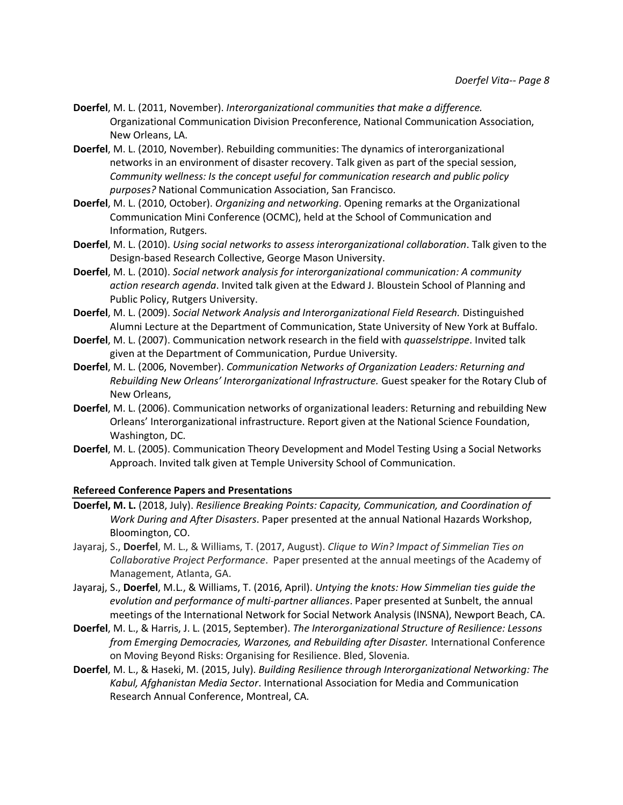- **Doerfel**, M. L. (2011, November). *Interorganizational communities that make a difference.* Organizational Communication Division Preconference, National Communication Association, New Orleans, LA.
- **Doerfel**, M. L. (2010, November). Rebuilding communities: The dynamics of interorganizational networks in an environment of disaster recovery. Talk given as part of the special session, *Community wellness: Is the concept useful for communication research and public policy purposes?* National Communication Association, San Francisco.
- **Doerfel**, M. L. (2010, October). *Organizing and networking*. Opening remarks at the Organizational Communication Mini Conference (OCMC), held at the School of Communication and Information, Rutgers.
- **Doerfel**, M. L. (2010). *Using social networks to assess interorganizational collaboration*. Talk given to the Design-based Research Collective, George Mason University.
- **Doerfel**, M. L. (2010). *Social network analysis for interorganizational communication: A community action research agenda*. Invited talk given at the Edward J. Bloustein School of Planning and Public Policy, Rutgers University.
- **Doerfel**, M. L. (2009). *Social Network Analysis and Interorganizational Field Research.* Distinguished Alumni Lecture at the Department of Communication, State University of New York at Buffalo.
- **Doerfel**, M. L. (2007). Communication network research in the field with *quasselstrippe*. Invited talk given at the Department of Communication, Purdue University.
- **Doerfel**, M. L. (2006, November). *Communication Networks of Organization Leaders: Returning and Rebuilding New Orleans' Interorganizational Infrastructure.* Guest speaker for the Rotary Club of New Orleans,
- **Doerfel**, M. L. (2006). Communication networks of organizational leaders: Returning and rebuilding New Orleans' Interorganizational infrastructure. Report given at the National Science Foundation, Washington, DC.
- **Doerfel**, M. L. (2005). Communication Theory Development and Model Testing Using a Social Networks Approach. Invited talk given at Temple University School of Communication.

### **Refereed Conference Papers and Presentations**

- **Doerfel, M. L.** (2018, July). *Resilience Breaking Points: Capacity, Communication, and Coordination of Work During and After Disasters*. Paper presented at the annual National Hazards Workshop, Bloomington, CO.
- Jayaraj, S., **Doerfel**, M. L., & Williams, T. (2017, August). *Clique to Win? Impact of Simmelian Ties on Collaborative Project Performance*. Paper presented at the annual meetings of the Academy of Management, Atlanta, GA.
- Jayaraj, S., **Doerfel**, M.L., & Williams, T. (2016, April). *Untying the knots: How Simmelian ties guide the evolution and performance of multi-partner alliances*. Paper presented at Sunbelt, the annual meetings of the International Network for Social Network Analysis (INSNA), Newport Beach, CA.
- **Doerfel**, M. L., & Harris, J. L. (2015, September). *The Interorganizational Structure of Resilience: Lessons from Emerging Democracies, Warzones, and Rebuilding after Disaster.* International Conference on Moving Beyond Risks: Organising for Resilience. Bled, Slovenia.
- **Doerfel**, M. L., & Haseki, M. (2015, July). *Building Resilience through Interorganizational Networking: The Kabul, Afghanistan Media Sector*. International Association for Media and Communication Research Annual Conference, Montreal, CA.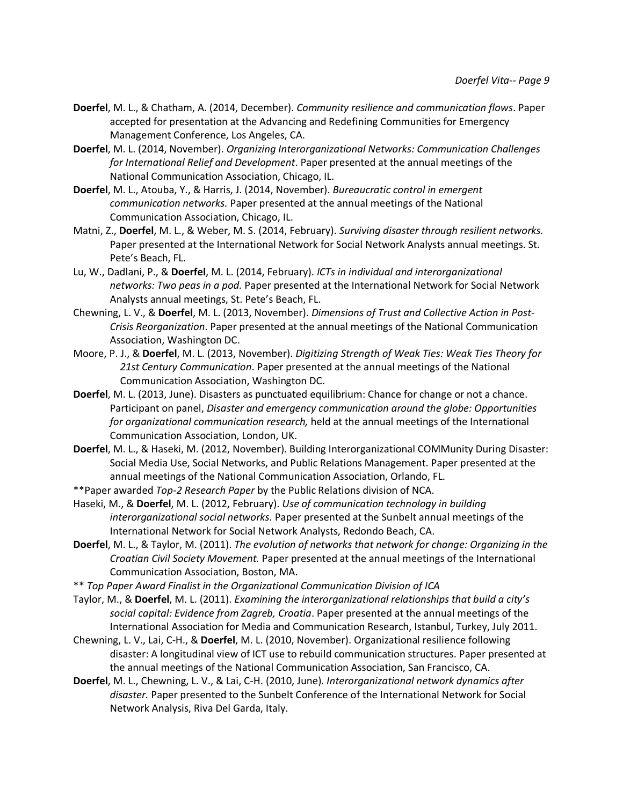- **Doerfel**, M. L., & Chatham, A. (2014, December). *Community resilience and communication flows*. Paper accepted for presentation at the Advancing and Redefining Communities for Emergency Management Conference, Los Angeles, CA.
- **Doerfel**, M. L. (2014, November). *Organizing Interorganizational Networks: Communication Challenges for International Relief and Development*. Paper presented at the annual meetings of the National Communication Association, Chicago, IL.
- **Doerfel**, M. L., Atouba, Y., & Harris, J. (2014, November). *Bureaucratic control in emergent communication networks.* Paper presented at the annual meetings of the National Communication Association, Chicago, IL.
- Matni, Z., **Doerfel**, M. L., & Weber, M. S. (2014, February). *Surviving disaster through resilient networks.* Paper presented at the International Network for Social Network Analysts annual meetings. St. Pete's Beach, FL.
- Lu, W., Dadlani, P., & **Doerfel**, M. L. (2014, February). *ICTs in individual and interorganizational networks: Two peas in a pod.* Paper presented at the International Network for Social Network Analysts annual meetings, St. Pete's Beach, FL.
- Chewning, L. V., & **Doerfel**, M. L. (2013, November). *Dimensions of Trust and Collective Action in Post-Crisis Reorganization*. Paper presented at the annual meetings of the National Communication Association, Washington DC.
- Moore, P. J., & **Doerfel**, M. L. (2013, November). *Digitizing Strength of Weak Ties: Weak Ties Theory for 21st Century Communication*. Paper presented at the annual meetings of the National Communication Association, Washington DC.
- **Doerfel**, M. L. (2013, June). Disasters as punctuated equilibrium: Chance for change or not a chance. Participant on panel, *Disaster and emergency communication around the globe: Opportunities for organizational communication research,* held at the annual meetings of the International Communication Association, London, UK.
- **Doerfel**, M. L., & Haseki, M. (2012, November). Building Interorganizational COMMunity During Disaster: Social Media Use, Social Networks, and Public Relations Management. Paper presented at the annual meetings of the National Communication Association, Orlando, FL.
- \*\*Paper awarded *Top-2 Research Paper* by the Public Relations division of NCA.
- Haseki, M., & **Doerfel**, M. L. (2012, February). *Use of communication technology in building interorganizational social networks.* Paper presented at the Sunbelt annual meetings of the International Network for Social Network Analysts, Redondo Beach, CA.
- **Doerfel**, M. L., & Taylor, M. (2011). *The evolution of networks that network for change: Organizing in the Croatian Civil Society Movement.* Paper presented at the annual meetings of the International Communication Association, Boston, MA.
- \*\* *Top Paper Award Finalist in the Organizational Communication Division of ICA*
- Taylor, M., & **Doerfel**, M. L. (2011). *Examining the interorganizational relationships that build a city's social capital: Evidence from Zagreb, Croatia*. Paper presented at the annual meetings of the International Association for Media and Communication Research, Istanbul, Turkey, July 2011.
- Chewning, L. V., Lai, C-H., & **Doerfel**, M. L. (2010, November). Organizational resilience following disaster: A longitudinal view of ICT use to rebuild communication structures. Paper presented at the annual meetings of the National Communication Association, San Francisco, CA.
- **Doerfel**, M. L., Chewning, L. V., & Lai, C-H. (2010, June). *Interorganizational network dynamics after disaster.* Paper presented to the Sunbelt Conference of the International Network for Social Network Analysis, Riva Del Garda, Italy.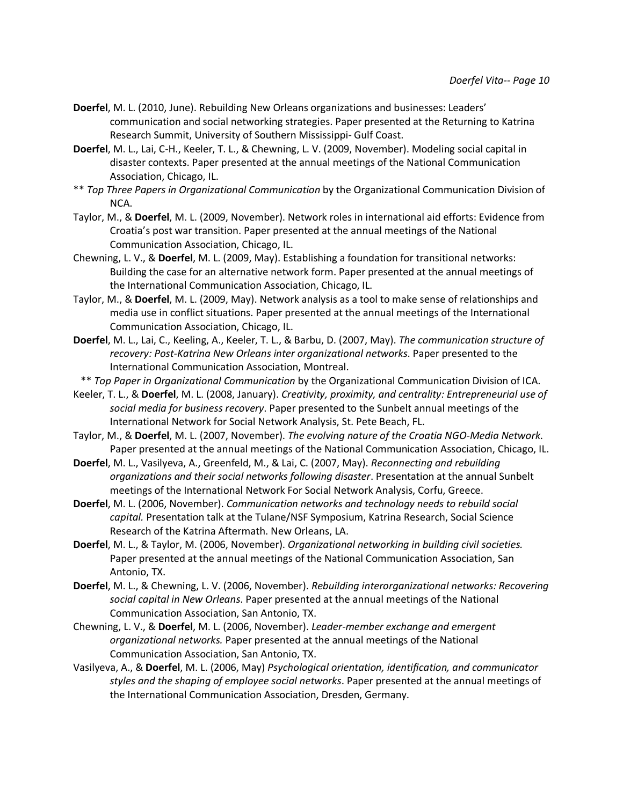- **Doerfel**, M. L. (2010, June). Rebuilding New Orleans organizations and businesses: Leaders' communication and social networking strategies. Paper presented at the Returning to Katrina Research Summit, University of Southern Mississippi- Gulf Coast.
- **Doerfel**, M. L., Lai, C-H., Keeler, T. L., & Chewning, L. V. (2009, November). Modeling social capital in disaster contexts. Paper presented at the annual meetings of the National Communication Association, Chicago, IL.
- \*\* *Top Three Papers in Organizational Communication* by the Organizational Communication Division of NCA.
- Taylor, M., & **Doerfel**, M. L. (2009, November). Network roles in international aid efforts: Evidence from Croatia's post war transition. Paper presented at the annual meetings of the National Communication Association, Chicago, IL.
- Chewning, L. V., & **Doerfel**, M. L. (2009, May). Establishing a foundation for transitional networks: Building the case for an alternative network form. Paper presented at the annual meetings of the International Communication Association, Chicago, IL.
- Taylor, M., & **Doerfel**, M. L. (2009, May). Network analysis as a tool to make sense of relationships and media use in conflict situations. Paper presented at the annual meetings of the International Communication Association, Chicago, IL.
- **Doerfel**, M. L., Lai, C., Keeling, A., Keeler, T. L., & Barbu, D. (2007, May). *The communication structure of recovery: Post-Katrina New Orleans inter organizational networks*. Paper presented to the International Communication Association, Montreal.
- \*\* *Top Paper in Organizational Communication* by the Organizational Communication Division of ICA.
- Keeler, T. L., & **Doerfel**, M. L. (2008, January). *Creativity, proximity, and centrality: Entrepreneurial use of social media for business recovery*. Paper presented to the Sunbelt annual meetings of the International Network for Social Network Analysis, St. Pete Beach, FL.
- Taylor, M., & **Doerfel**, M. L. (2007, November). *The evolving nature of the Croatia NGO-Media Network*. Paper presented at the annual meetings of the National Communication Association, Chicago, IL.
- **Doerfel**, M. L., Vasilyeva, A., Greenfeld, M., & Lai, C. (2007, May). *Reconnecting and rebuilding organizations and their social networks following disaster*. Presentation at the annual Sunbelt meetings of the International Network For Social Network Analysis, Corfu, Greece.
- **Doerfel**, M. L. (2006, November). *Communication networks and technology needs to rebuild social capital.* Presentation talk at the Tulane/NSF Symposium, Katrina Research, Social Science Research of the Katrina Aftermath. New Orleans, LA.
- **Doerfel**, M. L., & Taylor, M. (2006, November). *Organizational networking in building civil societies.*  Paper presented at the annual meetings of the National Communication Association, San Antonio, TX.
- **Doerfel**, M. L., & Chewning, L. V. (2006, November). *Rebuilding interorganizational networks: Recovering social capital in New Orleans*. Paper presented at the annual meetings of the National Communication Association, San Antonio, TX.
- Chewning, L. V., & **Doerfel**, M. L. (2006, November). *Leader-member exchange and emergent organizational networks.* Paper presented at the annual meetings of the National Communication Association, San Antonio, TX.
- Vasilyeva, A., & **Doerfel**, M. L. (2006, May) *Psychological orientation, identification, and communicator styles and the shaping of employee social networks*. Paper presented at the annual meetings of the International Communication Association, Dresden, Germany.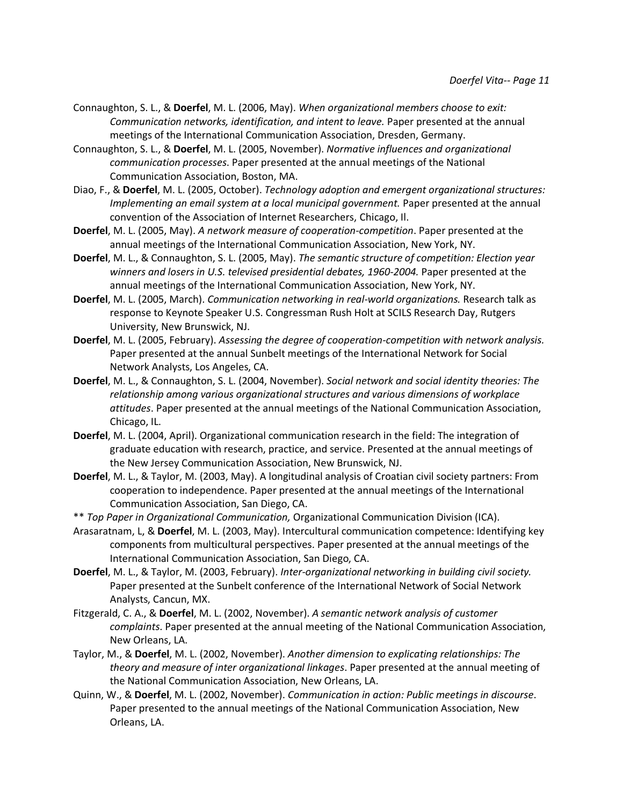- Connaughton, S. L., & **Doerfel**, M. L. (2006, May). *When organizational members choose to exit: Communication networks, identification, and intent to leave.* Paper presented at the annual meetings of the International Communication Association, Dresden, Germany.
- Connaughton, S. L., & **Doerfel**, M. L. (2005, November). *Normative influences and organizational communication processes*. Paper presented at the annual meetings of the National Communication Association, Boston, MA.
- Diao, F., & **Doerfel**, M. L. (2005, October). *Technology adoption and emergent organizational structures: Implementing an email system at a local municipal government.* Paper presented at the annual convention of the Association of Internet Researchers, Chicago, Il.
- **Doerfel**, M. L. (2005, May). *A network measure of cooperation-competition*. Paper presented at the annual meetings of the International Communication Association, New York, NY.
- **Doerfel**, M. L., & Connaughton, S. L. (2005, May). *The semantic structure of competition: Election year*  winners and losers in U.S. televised presidential debates, 1960-2004. Paper presented at the annual meetings of the International Communication Association, New York, NY.
- **Doerfel**, M. L. (2005, March). *Communication networking in real-world organizations.* Research talk as response to Keynote Speaker U.S. Congressman Rush Holt at SCILS Research Day, Rutgers University, New Brunswick, NJ.
- **Doerfel**, M. L. (2005, February). *Assessing the degree of cooperation-competition with network analysis.* Paper presented at the annual Sunbelt meetings of the International Network for Social Network Analysts, Los Angeles, CA.
- **Doerfel**, M. L., & Connaughton, S. L. (2004, November). *Social network and social identity theories: The relationship among various organizational structures and various dimensions of workplace attitudes*. Paper presented at the annual meetings of the National Communication Association, Chicago, IL.
- **Doerfel**, M. L. (2004, April). Organizational communication research in the field: The integration of graduate education with research, practice, and service. Presented at the annual meetings of the New Jersey Communication Association, New Brunswick, NJ.
- **Doerfel**, M. L., & Taylor, M. (2003, May). A longitudinal analysis of Croatian civil society partners: From cooperation to independence. Paper presented at the annual meetings of the International Communication Association, San Diego, CA.
- \*\* *Top Paper in Organizational Communication,* Organizational Communication Division (ICA).
- Arasaratnam, L, & **Doerfel**, M. L. (2003, May). Intercultural communication competence: Identifying key components from multicultural perspectives. Paper presented at the annual meetings of the International Communication Association, San Diego, CA.
- **Doerfel**, M. L., & Taylor, M. (2003, February). *Inter-organizational networking in building civil society.* Paper presented at the Sunbelt conference of the International Network of Social Network Analysts, Cancun, MX.
- Fitzgerald, C. A., & **Doerfel**, M. L. (2002, November). *A semantic network analysis of customer complaints*. Paper presented at the annual meeting of the National Communication Association, New Orleans, LA.
- Taylor, M., & **Doerfel**, M. L. (2002, November). *Another dimension to explicating relationships: The theory and measure of inter organizational linkages*. Paper presented at the annual meeting of the National Communication Association, New Orleans, LA.
- Quinn, W., & **Doerfel**, M. L. (2002, November). *Communication in action: Public meetings in discourse*. Paper presented to the annual meetings of the National Communication Association, New Orleans, LA.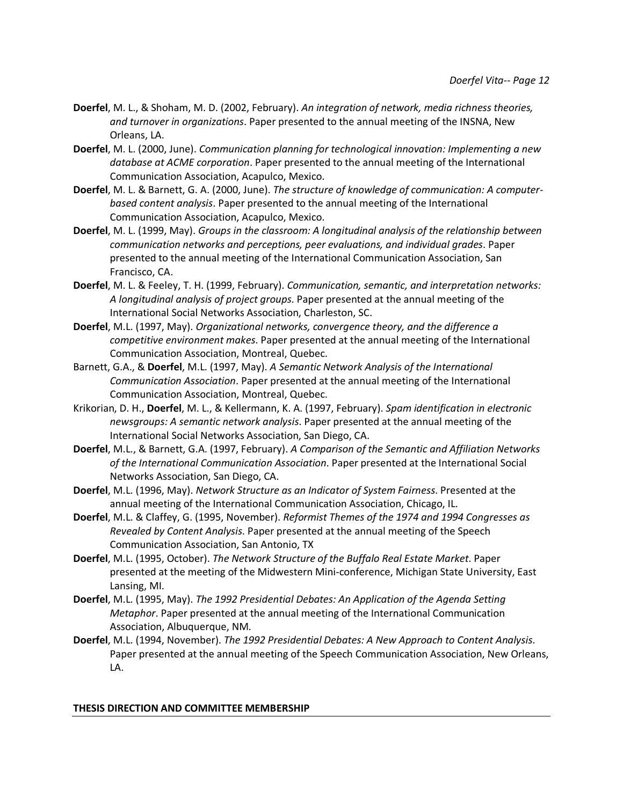- **Doerfel**, M. L., & Shoham, M. D. (2002, February). *An integration of network, media richness theories, and turnover in organizations*. Paper presented to the annual meeting of the INSNA, New Orleans, LA.
- **Doerfel**, M. L. (2000, June). *Communication planning for technological innovation: Implementing a new database at ACME corporation*. Paper presented to the annual meeting of the International Communication Association, Acapulco, Mexico.
- **Doerfel**, M. L. & Barnett, G. A. (2000, June). *The structure of knowledge of communication: A computerbased content analysis*. Paper presented to the annual meeting of the International Communication Association, Acapulco, Mexico.
- **Doerfel**, M. L. (1999, May). *Groups in the classroom: A longitudinal analysis of the relationship between communication networks and perceptions, peer evaluations, and individual grades*. Paper presented to the annual meeting of the International Communication Association, San Francisco, CA.
- **Doerfel**, M. L. & Feeley, T. H. (1999, February). *Communication, semantic, and interpretation networks: A longitudinal analysis of project groups*. Paper presented at the annual meeting of the International Social Networks Association, Charleston, SC.
- **Doerfel**, M.L. (1997, May). *Organizational networks, convergence theory, and the difference a competitive environment makes*. Paper presented at the annual meeting of the International Communication Association, Montreal, Quebec.
- Barnett, G.A., & **Doerfel**, M.L. (1997, May). *A Semantic Network Analysis of the International Communication Association*. Paper presented at the annual meeting of the International Communication Association, Montreal, Quebec.
- Krikorian, D. H., **Doerfel**, M. L., & Kellermann, K. A. (1997, February). *Spam identification in electronic newsgroups: A semantic network analysis*. Paper presented at the annual meeting of the International Social Networks Association, San Diego, CA.
- **Doerfel**, M.L., & Barnett, G.A. (1997, February). *A Comparison of the Semantic and Affiliation Networks of the International Communication Association*. Paper presented at the International Social Networks Association, San Diego, CA.
- **Doerfel**, M.L. (1996, May). *Network Structure as an Indicator of System Fairness*. Presented at the annual meeting of the International Communication Association, Chicago, IL.
- **Doerfel**, M.L. & Claffey, G. (1995, November). *Reformist Themes of the 1974 and 1994 Congresses as Revealed by Content Analysis*. Paper presented at the annual meeting of the Speech Communication Association, San Antonio, TX
- **Doerfel**, M.L. (1995, October). *The Network Structure of the Buffalo Real Estate Market*. Paper presented at the meeting of the Midwestern Mini-conference, Michigan State University, East Lansing, MI.
- **Doerfel**, M.L. (1995, May). *The 1992 Presidential Debates: An Application of the Agenda Setting Metaphor*. Paper presented at the annual meeting of the International Communication Association, Albuquerque, NM.
- **Doerfel**, M.L. (1994, November). *The 1992 Presidential Debates: A New Approach to Content Analysis*. Paper presented at the annual meeting of the Speech Communication Association, New Orleans, LA.

### **THESIS DIRECTION AND COMMITTEE MEMBERSHIP**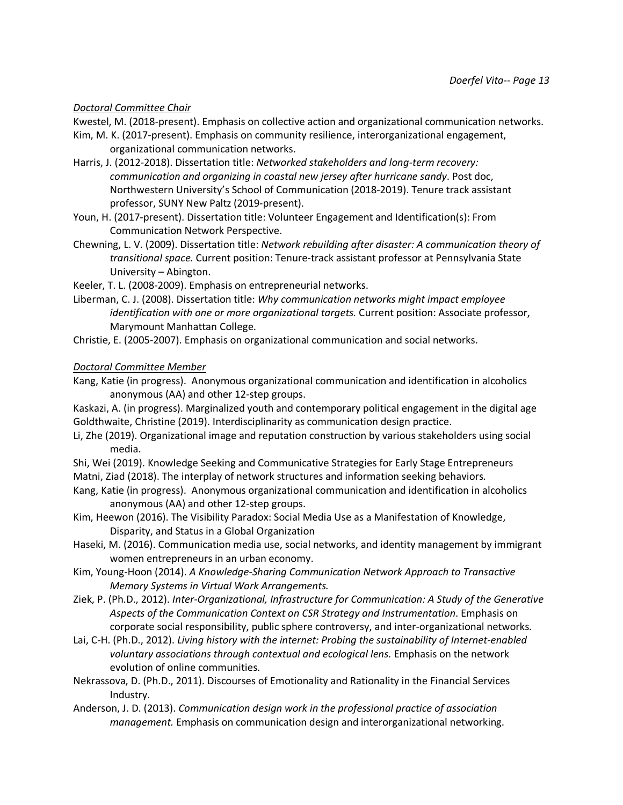# *Doctoral Committee Chair*

Kwestel, M. (2018-present). Emphasis on collective action and organizational communication networks.

- Kim, M. K. (2017-present). Emphasis on community resilience, interorganizational engagement, organizational communication networks.
- Harris, J. (2012-2018). Dissertation title: *Networked stakeholders and long-term recovery: communication and organizing in coastal new jersey after hurricane sandy*. Post doc, Northwestern University's School of Communication (2018-2019). Tenure track assistant professor, SUNY New Paltz (2019-present).
- Youn, H. (2017-present). Dissertation title: Volunteer Engagement and Identification(s): From Communication Network Perspective.
- Chewning, L. V. (2009). Dissertation title: *Network rebuilding after disaster: A communication theory of transitional space.* Current position: Tenure-track assistant professor at Pennsylvania State University – Abington.

Keeler, T. L. (2008-2009). Emphasis on entrepreneurial networks.

- Liberman, C. J. (2008). Dissertation title: *Why communication networks might impact employee identification with one or more organizational targets.* Current position: Associate professor, Marymount Manhattan College.
- Christie, E. (2005-2007). Emphasis on organizational communication and social networks.

# *Doctoral Committee Member*

Kang, Katie (in progress). Anonymous organizational communication and identification in alcoholics anonymous (AA) and other 12-step groups.

Kaskazi, A. (in progress). Marginalized youth and contemporary political engagement in the digital age Goldthwaite, Christine (2019). Interdisciplinarity as communication design practice.

- Li, Zhe (2019). Organizational image and reputation construction by various stakeholders using social media.
- Shi, Wei (2019). Knowledge Seeking and Communicative Strategies for Early Stage Entrepreneurs Matni, Ziad (2018). The interplay of network structures and information seeking behaviors.
- Kang, Katie (in progress). Anonymous organizational communication and identification in alcoholics anonymous (AA) and other 12-step groups.
- Kim, Heewon (2016). The Visibility Paradox: Social Media Use as a Manifestation of Knowledge, Disparity, and Status in a Global Organization
- Haseki, M. (2016). Communication media use, social networks, and identity management by immigrant women entrepreneurs in an urban economy.
- Kim, Young-Hoon (2014). *A Knowledge-Sharing Communication Network Approach to Transactive Memory Systems in Virtual Work Arrangements.*
- Ziek, P. (Ph.D., 2012). *Inter-Organizational, Infrastructure for Communication: A Study of the Generative Aspects of the Communication Context on CSR Strategy and Instrumentation*. Emphasis on corporate social responsibility, public sphere controversy, and inter-organizational networks.
- Lai, C-H. (Ph.D., 2012). *Living history with the internet: Probing the sustainability of Internet-enabled voluntary associations through contextual and ecological lens.* Emphasis on the network evolution of online communities.
- Nekrassova, D. (Ph.D., 2011). Discourses of Emotionality and Rationality in the Financial Services Industry*.*
- Anderson, J. D. (2013). *Communication design work in the professional practice of association management.* Emphasis on communication design and interorganizational networking.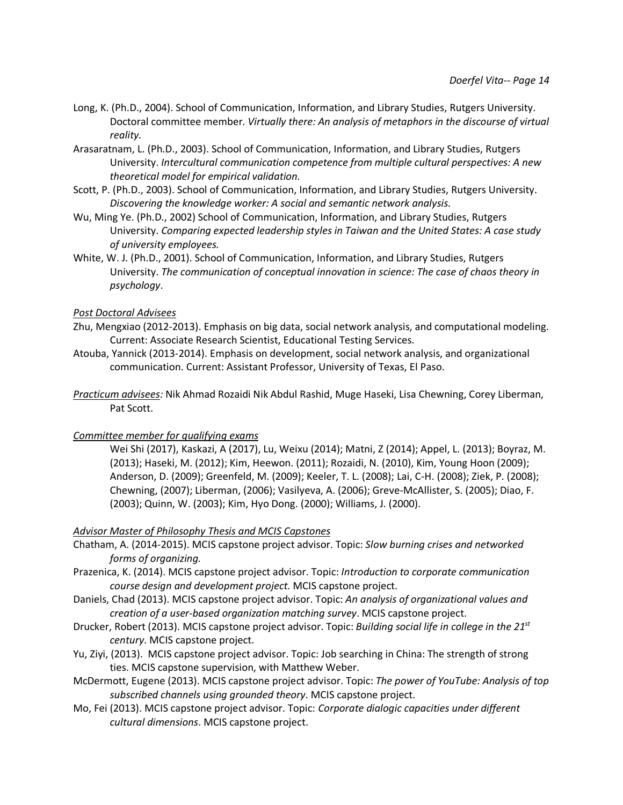- Long, K. (Ph.D., 2004). School of Communication, Information, and Library Studies, Rutgers University. Doctoral committee member. *Virtually there: An analysis of metaphors in the discourse of virtual reality.*
- Arasaratnam, L. (Ph.D., 2003). School of Communication, Information, and Library Studies, Rutgers University. *Intercultural communication competence from multiple cultural perspectives: A new theoretical model for empirical validation.*
- Scott, P. (Ph.D., 2003). School of Communication, Information, and Library Studies, Rutgers University. *Discovering the knowledge worker: A social and semantic network analysis.*
- Wu, Ming Ye. (Ph.D., 2002) School of Communication, Information, and Library Studies, Rutgers University. *Comparing expected leadership styles in Taiwan and the United States: A case study of university employees.*
- White, W. J. (Ph.D., 2001). School of Communication, Information, and Library Studies, Rutgers University. *The communication of conceptual innovation in science: The case of chaos theory in psychology*.

### *Post Doctoral Advisees*

- Zhu, Mengxiao (2012-2013). Emphasis on big data, social network analysis, and computational modeling. Current: Associate Research Scientist, Educational Testing Services.
- Atouba, Yannick (2013-2014). Emphasis on development, social network analysis, and organizational communication. Current: Assistant Professor, University of Texas, El Paso.
- *Practicum advisees:* Nik Ahmad Rozaidi Nik Abdul Rashid, Muge Haseki, Lisa Chewning, Corey Liberman, Pat Scott.

### *Committee member for qualifying exams*

Wei Shi (2017), Kaskazi, A (2017), Lu, Weixu (2014); Matni, Z (2014); Appel, L. (2013); Boyraz, M. (2013); Haseki, M. (2012); Kim, Heewon. (2011); Rozaidi, N. (2010), Kim, Young Hoon (2009); Anderson, D. (2009); Greenfeld, M. (2009); Keeler, T. L. (2008); Lai, C-H. (2008); Ziek, P. (2008); Chewning, (2007); Liberman, (2006); Vasilyeva, A. (2006); Greve-McAllister, S. (2005); Diao, F. (2003); Quinn, W. (2003); Kim, Hyo Dong. (2000); Williams, J. (2000).

### *Advisor Master of Philosophy Thesis and MCIS Capstones*

- Chatham, A. (2014-2015). MCIS capstone project advisor. Topic: *Slow burning crises and networked forms of organizing.*
- Prazenica, K. (2014). MCIS capstone project advisor. Topic: *Introduction to corporate communication course design and development project.* MCIS capstone project.
- Daniels, Chad (2013). MCIS capstone project advisor. Topic: *An analysis of organizational values and creation of a user-based organization matching survey*. MCIS capstone project.
- Drucker, Robert (2013). MCIS capstone project advisor. Topic: *Building social life in college in the 21st century*. MCIS capstone project.
- Yu, Ziyi, (2013). MCIS capstone project advisor. Topic: Job searching in China: The strength of strong ties. MCIS capstone supervision, with Matthew Weber.
- McDermott, Eugene (2013). MCIS capstone project advisor. Topic: *The power of YouTube: Analysis of top subscribed channels using grounded theory*. MCIS capstone project.
- Mo, Fei (2013). MCIS capstone project advisor. Topic: *Corporate dialogic capacities under different cultural dimensions*. MCIS capstone project.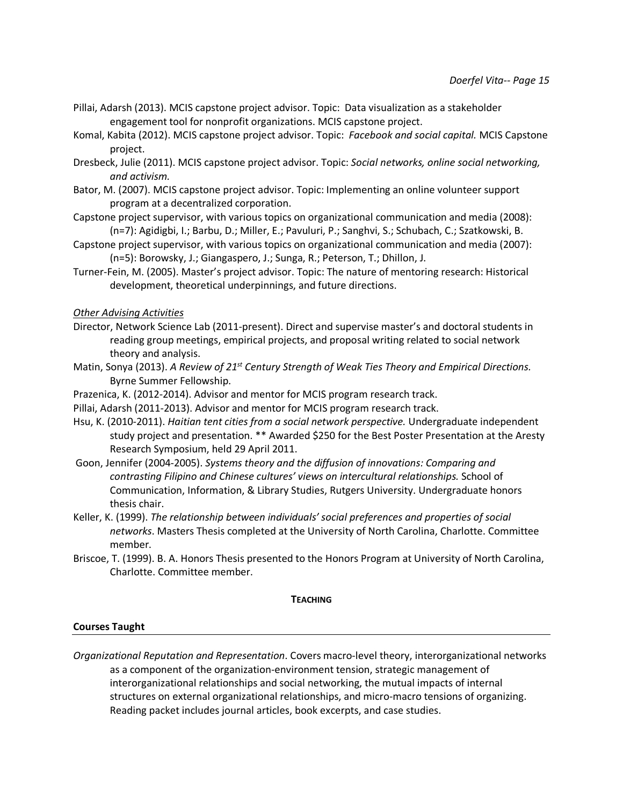- Pillai, Adarsh (2013). MCIS capstone project advisor. Topic: Data visualization as a stakeholder engagement tool for nonprofit organizations. MCIS capstone project.
- Komal, Kabita (2012). MCIS capstone project advisor. Topic: *Facebook and social capital.* MCIS Capstone project.
- Dresbeck, Julie (2011). MCIS capstone project advisor. Topic: *Social networks, online social networking, and activism.*
- Bator, M. (2007). MCIS capstone project advisor. Topic: Implementing an online volunteer support program at a decentralized corporation.
- Capstone project supervisor, with various topics on organizational communication and media (2008): (n=7): Agidigbi, I.; Barbu, D.; Miller, E.; Pavuluri, P.; Sanghvi, S.; Schubach, C.; Szatkowski, B.
- Capstone project supervisor, with various topics on organizational communication and media (2007): (n=5): Borowsky, J.; Giangaspero, J.; Sunga, R.; Peterson, T.; Dhillon, J.
- Turner-Fein, M. (2005). Master's project advisor. Topic: The nature of mentoring research: Historical development, theoretical underpinnings, and future directions.

*Other Advising Activities*

- Director, Network Science Lab (2011-present). Direct and supervise master's and doctoral students in reading group meetings, empirical projects, and proposal writing related to social network theory and analysis.
- Matin, Sonya (2013). *A Review of 21st Century Strength of Weak Ties Theory and Empirical Directions.*  Byrne Summer Fellowship.
- Prazenica, K. (2012-2014). Advisor and mentor for MCIS program research track.
- Pillai, Adarsh (2011-2013). Advisor and mentor for MCIS program research track.
- Hsu, K. (2010-2011). *Haitian tent cities from a social network perspective.* Undergraduate independent study project and presentation. \*\* Awarded \$250 for the Best Poster Presentation at the Aresty Research Symposium, held 29 April 2011.
- Goon, Jennifer (2004-2005). *Systems theory and the diffusion of innovations: Comparing and contrasting Filipino and Chinese cultures' views on intercultural relationships.* School of Communication, Information, & Library Studies, Rutgers University. Undergraduate honors thesis chair.
- Keller, K. (1999). *The relationship between individuals' social preferences and properties of social networks*. Masters Thesis completed at the University of North Carolina, Charlotte. Committee member.
- Briscoe, T. (1999). B. A. Honors Thesis presented to the Honors Program at University of North Carolina, Charlotte. Committee member.

**TEACHING**

### **Courses Taught**

*Organizational Reputation and Representation*. Covers macro-level theory, interorganizational networks as a component of the organization-environment tension, strategic management of interorganizational relationships and social networking, the mutual impacts of internal structures on external organizational relationships, and micro-macro tensions of organizing. Reading packet includes journal articles, book excerpts, and case studies.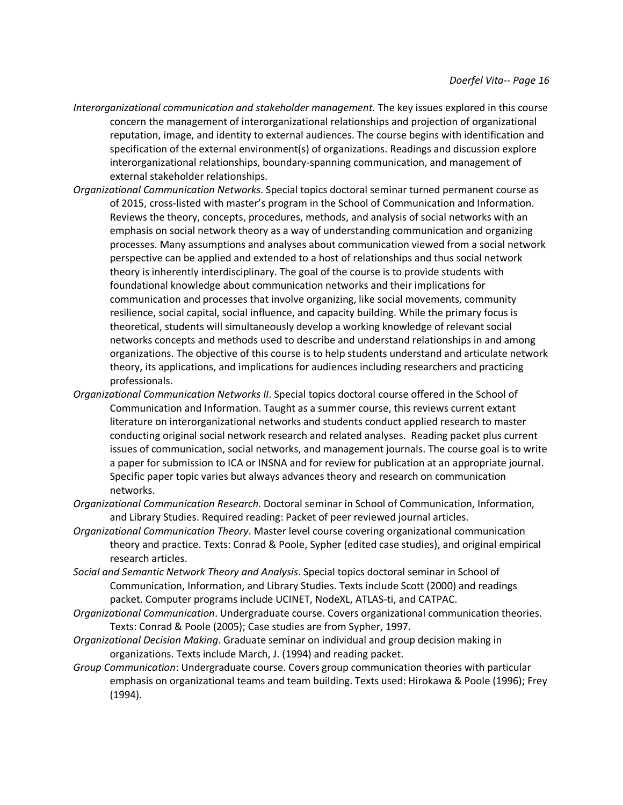- *Interorganizational communication and stakeholder management.* The key issues explored in this course concern the management of interorganizational relationships and projection of organizational reputation, image, and identity to external audiences. The course begins with identification and specification of the external environment(s) of organizations. Readings and discussion explore interorganizational relationships, boundary-spanning communication, and management of external stakeholder relationships.
- *Organizational Communication Networks*. Special topics doctoral seminar turned permanent course as of 2015, cross-listed with master's program in the School of Communication and Information. Reviews the theory, concepts, procedures, methods, and analysis of social networks with an emphasis on social network theory as a way of understanding communication and organizing processes. Many assumptions and analyses about communication viewed from a social network perspective can be applied and extended to a host of relationships and thus social network theory is inherently interdisciplinary. The goal of the course is to provide students with foundational knowledge about communication networks and their implications for communication and processes that involve organizing, like social movements, community resilience, social capital, social influence, and capacity building. While the primary focus is theoretical, students will simultaneously develop a working knowledge of relevant social networks concepts and methods used to describe and understand relationships in and among organizations. The objective of this course is to help students understand and articulate network theory, its applications, and implications for audiences including researchers and practicing professionals.
- *Organizational Communication Networks II*. Special topics doctoral course offered in the School of Communication and Information. Taught as a summer course, this reviews current extant literature on interorganizational networks and students conduct applied research to master conducting original social network research and related analyses. Reading packet plus current issues of communication, social networks, and management journals. The course goal is to write a paper for submission to ICA or INSNA and for review for publication at an appropriate journal. Specific paper topic varies but always advances theory and research on communication networks.
- *Organizational Communication Research*. Doctoral seminar in School of Communication, Information, and Library Studies. Required reading: Packet of peer reviewed journal articles.
- *Organizational Communication Theory*. Master level course covering organizational communication theory and practice. Texts: Conrad & Poole, Sypher (edited case studies), and original empirical research articles.
- *Social and Semantic Network Theory and Analysis*. Special topics doctoral seminar in School of Communication, Information, and Library Studies. Texts include Scott (2000) and readings packet. Computer programs include UCINET, NodeXL, ATLAS-ti, and CATPAC.
- *Organizational Communication*. Undergraduate course. Covers organizational communication theories. Texts: Conrad & Poole (2005); Case studies are from Sypher, 1997.
- *Organizational Decision Making*. Graduate seminar on individual and group decision making in organizations. Texts include March, J. (1994) and reading packet.
- *Group Communication*: Undergraduate course. Covers group communication theories with particular emphasis on organizational teams and team building. Texts used: Hirokawa & Poole (1996); Frey (1994).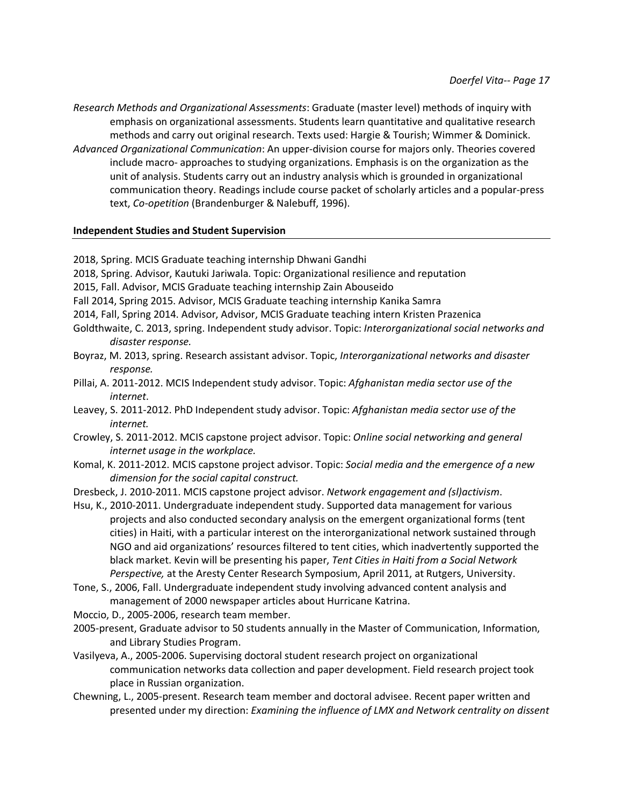*Research Methods and Organizational Assessments*: Graduate (master level) methods of inquiry with emphasis on organizational assessments. Students learn quantitative and qualitative research methods and carry out original research. Texts used: Hargie & Tourish; Wimmer & Dominick. *Advanced Organizational Communication*: An upper-division course for majors only. Theories covered include macro- approaches to studying organizations. Emphasis is on the organization as the unit of analysis. Students carry out an industry analysis which is grounded in organizational communication theory. Readings include course packet of scholarly articles and a popular-press text, *Co-opetition* (Brandenburger & Nalebuff, 1996).

# **Independent Studies and Student Supervision**

2018, Spring. MCIS Graduate teaching internship Dhwani Gandhi

- 2018, Spring. Advisor, Kautuki Jariwala. Topic: Organizational resilience and reputation
- 2015, Fall. Advisor, MCIS Graduate teaching internship Zain Abouseido
- Fall 2014, Spring 2015. Advisor, MCIS Graduate teaching internship Kanika Samra
- 2014, Fall, Spring 2014. Advisor, Advisor, MCIS Graduate teaching intern Kristen Prazenica
- Goldthwaite, C. 2013, spring. Independent study advisor. Topic: *Interorganizational social networks and disaster response.*
- Boyraz, M. 2013, spring. Research assistant advisor. Topic, *Interorganizational networks and disaster response.*
- Pillai, A. 2011-2012. MCIS Independent study advisor. Topic: *Afghanistan media sector use of the internet*.
- Leavey, S. 2011-2012. PhD Independent study advisor. Topic: *Afghanistan media sector use of the internet.*
- Crowley, S. 2011-2012. MCIS capstone project advisor. Topic: *Online social networking and general internet usage in the workplace.*
- Komal, K. 2011-2012. MCIS capstone project advisor. Topic: *Social media and the emergence of a new dimension for the social capital construct.*
- Dresbeck, J. 2010-2011. MCIS capstone project advisor. *Network engagement and (sl)activism*.
- Hsu, K., 2010-2011. Undergraduate independent study. Supported data management for various projects and also conducted secondary analysis on the emergent organizational forms (tent cities) in Haiti, with a particular interest on the interorganizational network sustained through NGO and aid organizations' resources filtered to tent cities, which inadvertently supported the black market. Kevin will be presenting his paper, *Tent Cities in Haiti from a Social Network Perspective,* at the Aresty Center Research Symposium, April 2011, at Rutgers, University.
- Tone, S., 2006, Fall. Undergraduate independent study involving advanced content analysis and management of 2000 newspaper articles about Hurricane Katrina.
- Moccio, D., 2005-2006, research team member.
- 2005-present, Graduate advisor to 50 students annually in the Master of Communication, Information, and Library Studies Program.
- Vasilyeva, A., 2005-2006. Supervising doctoral student research project on organizational communication networks data collection and paper development. Field research project took place in Russian organization.
- Chewning, L., 2005-present. Research team member and doctoral advisee. Recent paper written and presented under my direction: *Examining the influence of LMX and Network centrality on dissent*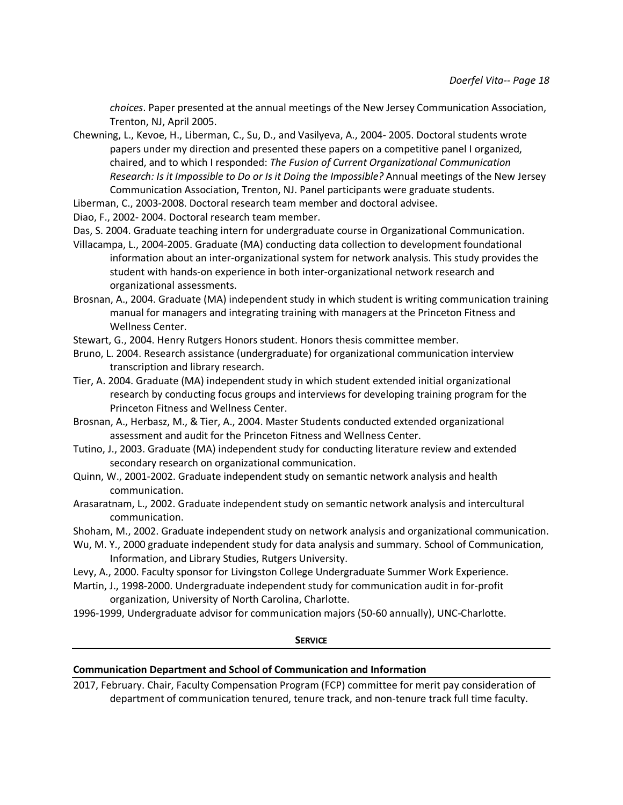*choices*. Paper presented at the annual meetings of the New Jersey Communication Association, Trenton, NJ, April 2005.

Chewning, L., Kevoe, H., Liberman, C., Su, D., and Vasilyeva, A., 2004- 2005. Doctoral students wrote papers under my direction and presented these papers on a competitive panel I organized, chaired, and to which I responded: *The Fusion of Current Organizational Communication Research: Is it Impossible to Do or Is it Doing the Impossible?* Annual meetings of the New Jersey Communication Association, Trenton, NJ. Panel participants were graduate students.

Liberman, C., 2003-2008. Doctoral research team member and doctoral advisee.

Diao, F., 2002- 2004. Doctoral research team member.

- Das, S. 2004. Graduate teaching intern for undergraduate course in Organizational Communication.
- Villacampa, L., 2004-2005. Graduate (MA) conducting data collection to development foundational information about an inter-organizational system for network analysis. This study provides the student with hands-on experience in both inter-organizational network research and organizational assessments.
- Brosnan, A., 2004. Graduate (MA) independent study in which student is writing communication training manual for managers and integrating training with managers at the Princeton Fitness and Wellness Center.
- Stewart, G., 2004. Henry Rutgers Honors student. Honors thesis committee member.
- Bruno, L. 2004. Research assistance (undergraduate) for organizational communication interview transcription and library research.
- Tier, A. 2004. Graduate (MA) independent study in which student extended initial organizational research by conducting focus groups and interviews for developing training program for the Princeton Fitness and Wellness Center.
- Brosnan, A., Herbasz, M., & Tier, A., 2004. Master Students conducted extended organizational assessment and audit for the Princeton Fitness and Wellness Center.
- Tutino, J., 2003. Graduate (MA) independent study for conducting literature review and extended secondary research on organizational communication.
- Quinn, W., 2001-2002. Graduate independent study on semantic network analysis and health communication.
- Arasaratnam, L., 2002. Graduate independent study on semantic network analysis and intercultural communication.

Shoham, M., 2002. Graduate independent study on network analysis and organizational communication.

- Wu, M. Y., 2000 graduate independent study for data analysis and summary. School of Communication, Information, and Library Studies, Rutgers University.
- Levy, A., 2000. Faculty sponsor for Livingston College Undergraduate Summer Work Experience.
- Martin, J., 1998-2000. Undergraduate independent study for communication audit in for-profit organization, University of North Carolina, Charlotte.
- 1996-1999, Undergraduate advisor for communication majors (50-60 annually), UNC-Charlotte.

#### **SERVICE**

# **Communication Department and School of Communication and Information**

2017, February. Chair, Faculty Compensation Program (FCP) committee for merit pay consideration of department of communication tenured, tenure track, and non-tenure track full time faculty.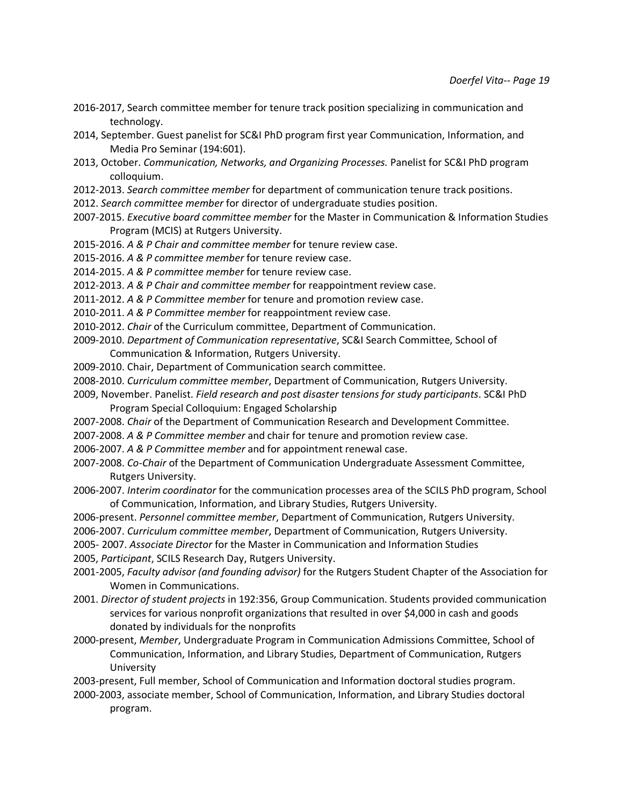- 2016-2017, Search committee member for tenure track position specializing in communication and technology.
- 2014, September. Guest panelist for SC&I PhD program first year Communication, Information, and Media Pro Seminar (194:601).
- 2013, October. *Communication, Networks, and Organizing Processes.* Panelist for SC&I PhD program colloquium.
- 2012-2013. *Search committee member* for department of communication tenure track positions.
- 2012. *Search committee member* for director of undergraduate studies position.
- 2007-2015. *Executive board committee member* for the Master in Communication & Information Studies Program (MCIS) at Rutgers University.
- 2015-2016. *A & P Chair and committee member* for tenure review case.
- 2015-2016. *A & P committee member* for tenure review case.
- 2014-2015. *A & P committee member* for tenure review case.
- 2012-2013. *A & P Chair and committee member* for reappointment review case.
- 2011-2012. *A & P Committee member* for tenure and promotion review case.
- 2010-2011. *A & P Committee member* for reappointment review case.
- 2010-2012. *Chair* of the Curriculum committee, Department of Communication.
- 2009-2010. *Department of Communication representative*, SC&I Search Committee, School of Communication & Information, Rutgers University.
- 2009-2010. Chair, Department of Communication search committee.
- 2008-2010. *Curriculum committee member*, Department of Communication, Rutgers University.
- 2009, November. Panelist. *Field research and post disaster tensions for study participants*. SC&I PhD Program Special Colloquium: Engaged Scholarship
- 2007-2008. *Chair* of the Department of Communication Research and Development Committee.
- 2007-2008. *A & P Committee member* and chair for tenure and promotion review case.
- 2006-2007. *A & P Committee member* and for appointment renewal case.
- 2007-2008. *Co-Chair* of the Department of Communication Undergraduate Assessment Committee, Rutgers University.
- 2006-2007. *Interim coordinator* for the communication processes area of the SCILS PhD program, School of Communication, Information, and Library Studies, Rutgers University.
- 2006-present. *Personnel committee member*, Department of Communication, Rutgers University.
- 2006-2007. *Curriculum committee member*, Department of Communication, Rutgers University.
- 2005- 2007. *Associate Director* for the Master in Communication and Information Studies
- 2005, *Participant*, SCILS Research Day, Rutgers University.
- 2001-2005, *Faculty advisor (and founding advisor)* for the Rutgers Student Chapter of the Association for Women in Communications.
- 2001. *Director of student projects* in 192:356, Group Communication. Students provided communication services for various nonprofit organizations that resulted in over \$4,000 in cash and goods donated by individuals for the nonprofits
- 2000-present, *Member*, Undergraduate Program in Communication Admissions Committee, School of Communication, Information, and Library Studies, Department of Communication, Rutgers University
- 2003-present, Full member, School of Communication and Information doctoral studies program.
- 2000-2003, associate member, School of Communication, Information, and Library Studies doctoral program.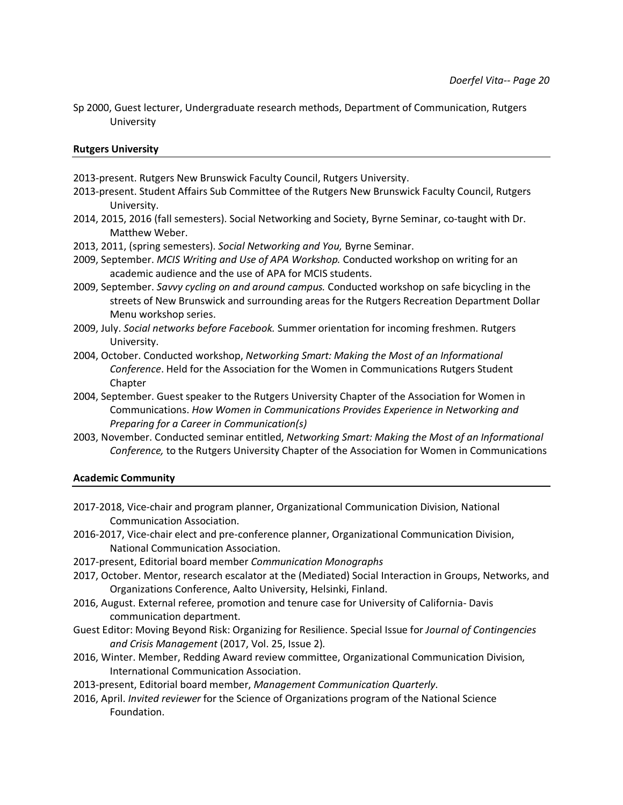Sp 2000, Guest lecturer, Undergraduate research methods, Department of Communication, Rutgers University

### **Rutgers University**

2013-present. Rutgers New Brunswick Faculty Council, Rutgers University.

- 2013-present. Student Affairs Sub Committee of the Rutgers New Brunswick Faculty Council, Rutgers University.
- 2014, 2015, 2016 (fall semesters). Social Networking and Society, Byrne Seminar, co-taught with Dr. Matthew Weber.
- 2013, 2011, (spring semesters). *Social Networking and You,* Byrne Seminar.
- 2009, September. *MCIS Writing and Use of APA Workshop.* Conducted workshop on writing for an academic audience and the use of APA for MCIS students.
- 2009, September. *Savvy cycling on and around campus.* Conducted workshop on safe bicycling in the streets of New Brunswick and surrounding areas for the Rutgers Recreation Department Dollar Menu workshop series.
- 2009, July. *Social networks before Facebook.* Summer orientation for incoming freshmen. Rutgers University.
- 2004, October. Conducted workshop, *Networking Smart: Making the Most of an Informational Conference*. Held for the Association for the Women in Communications Rutgers Student Chapter
- 2004, September. Guest speaker to the Rutgers University Chapter of the Association for Women in Communications. *How Women in Communications Provides Experience in Networking and Preparing for a Career in Communication(s)*
- 2003, November. Conducted seminar entitled, *Networking Smart: Making the Most of an Informational Conference,* to the Rutgers University Chapter of the Association for Women in Communications

### **Academic Community**

- 2017-2018, Vice-chair and program planner, Organizational Communication Division, National Communication Association.
- 2016-2017, Vice-chair elect and pre-conference planner, Organizational Communication Division, National Communication Association.
- 2017-present, Editorial board member *Communication Monographs*
- 2017, October. Mentor, research escalator at the (Mediated) Social Interaction in Groups, Networks, and Organizations Conference, Aalto University, Helsinki, Finland.
- 2016, August. External referee, promotion and tenure case for University of California- Davis communication department.
- Guest Editor: Moving Beyond Risk: Organizing for Resilience. Special Issue for *Journal of Contingencies and Crisis Management* (2017, Vol. 25, Issue 2)*.*
- 2016, Winter. Member, Redding Award review committee, Organizational Communication Division, International Communication Association.
- 2013-present, Editorial board member, *Management Communication Quarterly*.
- 2016, April. *Invited reviewer* for the Science of Organizations program of the National Science Foundation.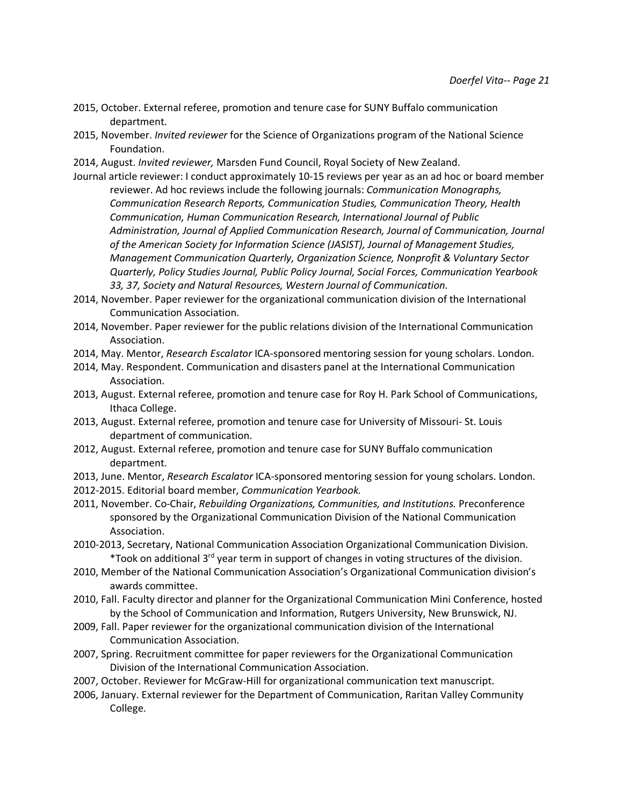- 2015, October. External referee, promotion and tenure case for SUNY Buffalo communication department.
- 2015, November. *Invited reviewer* for the Science of Organizations program of the National Science Foundation.
- 2014, August. *Invited reviewer,* Marsden Fund Council, Royal Society of New Zealand.
- Journal article reviewer: I conduct approximately 10-15 reviews per year as an ad hoc or board member reviewer. Ad hoc reviews include the following journals: *Communication Monographs, Communication Research Reports, Communication Studies, Communication Theory, Health Communication, Human Communication Research, International Journal of Public Administration, Journal of Applied Communication Research, Journal of Communication, Journal of the American Society for Information Science (JASIST), Journal of Management Studies, Management Communication Quarterly, Organization Science, Nonprofit & Voluntary Sector Quarterly, Policy Studies Journal, Public Policy Journal, Social Forces, Communication Yearbook 33, 37, Society and Natural Resources, Western Journal of Communication.*
- 2014, November. Paper reviewer for the organizational communication division of the International Communication Association.
- 2014, November. Paper reviewer for the public relations division of the International Communication Association.
- 2014, May. Mentor, *Research Escalator* ICA-sponsored mentoring session for young scholars. London.
- 2014, May. Respondent. Communication and disasters panel at the International Communication Association.
- 2013, August. External referee, promotion and tenure case for Roy H. Park School of Communications, Ithaca College.
- 2013, August. External referee, promotion and tenure case for University of Missouri- St. Louis department of communication.
- 2012, August. External referee, promotion and tenure case for SUNY Buffalo communication department.
- 2013, June. Mentor, *Research Escalator* ICA-sponsored mentoring session for young scholars. London.
- 2012-2015. Editorial board member, *Communication Yearbook.*
- 2011, November. Co-Chair, *Rebuilding Organizations, Communities, and Institutions.* Preconference sponsored by the Organizational Communication Division of the National Communication Association.
- 2010-2013, Secretary, National Communication Association Organizational Communication Division. \*Took on additional 3<sup>rd</sup> year term in support of changes in voting structures of the division.
- 2010, Member of the National Communication Association's Organizational Communication division's awards committee.
- 2010, Fall. Faculty director and planner for the Organizational Communication Mini Conference, hosted by the School of Communication and Information, Rutgers University, New Brunswick, NJ.
- 2009, Fall. Paper reviewer for the organizational communication division of the International Communication Association.
- 2007, Spring. Recruitment committee for paper reviewers for the Organizational Communication Division of the International Communication Association.
- 2007, October. Reviewer for McGraw-Hill for organizational communication text manuscript.
- 2006, January. External reviewer for the Department of Communication, Raritan Valley Community College.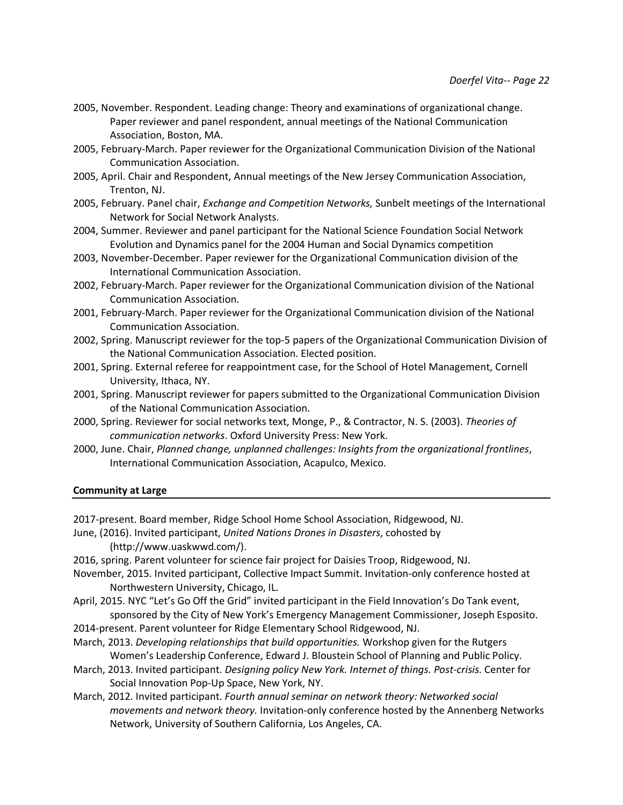- 2005, November. Respondent. Leading change: Theory and examinations of organizational change. Paper reviewer and panel respondent, annual meetings of the National Communication Association, Boston, MA.
- 2005, February-March. Paper reviewer for the Organizational Communication Division of the National Communication Association.
- 2005, April. Chair and Respondent, Annual meetings of the New Jersey Communication Association, Trenton, NJ.
- 2005, February. Panel chair, *Exchange and Competition Networks,* Sunbelt meetings of the International Network for Social Network Analysts.
- 2004, Summer. Reviewer and panel participant for the National Science Foundation Social Network Evolution and Dynamics panel for the 2004 Human and Social Dynamics competition
- 2003, November-December. Paper reviewer for the Organizational Communication division of the International Communication Association.
- 2002, February-March. Paper reviewer for the Organizational Communication division of the National Communication Association.
- 2001, February-March. Paper reviewer for the Organizational Communication division of the National Communication Association.
- 2002, Spring. Manuscript reviewer for the top-5 papers of the Organizational Communication Division of the National Communication Association. Elected position.
- 2001, Spring. External referee for reappointment case, for the School of Hotel Management, Cornell University, Ithaca, NY.
- 2001, Spring. Manuscript reviewer for papers submitted to the Organizational Communication Division of the National Communication Association.
- 2000, Spring. Reviewer for social networks text, Monge, P., & Contractor, N. S. (2003). *Theories of communication networks*. Oxford University Press: New York.
- 2000, June. Chair, *Planned change, unplanned challenges: Insights from the organizational frontlines*, International Communication Association, Acapulco, Mexico.

### **Community at Large**

2017-present. Board member, Ridge School Home School Association, Ridgewood, NJ.

June, (2016). Invited participant, *United Nations Drones in Disasters*, cohosted by (http://www.uaskwwd.com/).

2016, spring. Parent volunteer for science fair project for Daisies Troop, Ridgewood, NJ.

- November, 2015. Invited participant, Collective Impact Summit. Invitation-only conference hosted at Northwestern University, Chicago, IL.
- April, 2015. NYC "Let's Go Off the Grid" invited participant in the Field Innovation's Do Tank event, sponsored by the City of New York's Emergency Management Commissioner, Joseph Esposito.
- 2014-present. Parent volunteer for Ridge Elementary School Ridgewood, NJ.
- March, 2013. *Developing relationships that build opportunities.* Workshop given for the Rutgers Women's Leadership Conference, Edward J. Bloustein School of Planning and Public Policy.
- March, 2013. Invited participant. *Designing policy New York. Internet of things. Post-crisis.* Center for Social Innovation Pop-Up Space, New York, NY.
- March, 2012. Invited participant. *Fourth annual seminar on network theory: Networked social movements and network theory.* Invitation-only conference hosted by the Annenberg Networks Network, University of Southern California, Los Angeles, CA.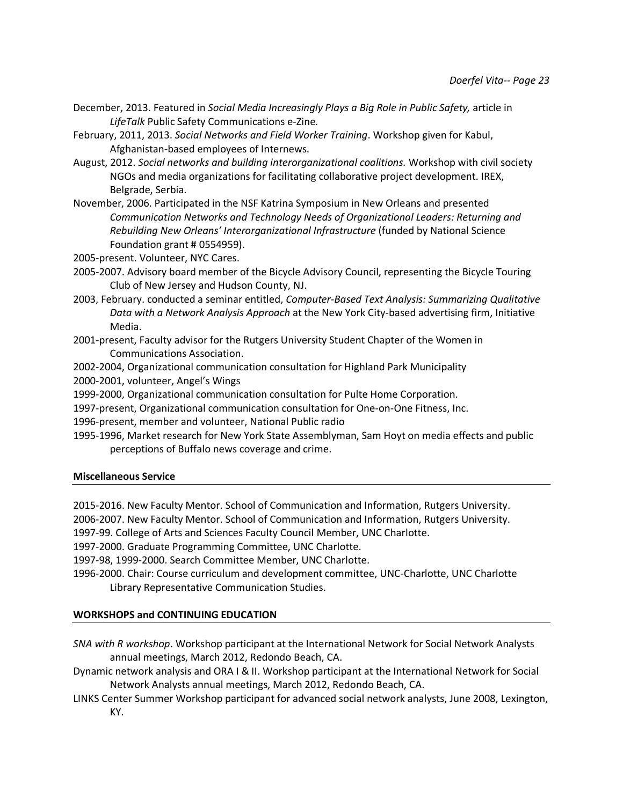- December, 2013. Featured in *Social Media Increasingly Plays a Big Role in Public Safety,* article in *LifeTalk* Public Safety Communications e-Zine*.*
- February, 2011, 2013. *Social Networks and Field Worker Training*. Workshop given for Kabul, Afghanistan-based employees of Internews.
- August, 2012. *Social networks and building interorganizational coalitions.* Workshop with civil society NGOs and media organizations for facilitating collaborative project development. IREX, Belgrade, Serbia.
- November, 2006. Participated in the NSF Katrina Symposium in New Orleans and presented *Communication Networks and Technology Needs of Organizational Leaders: Returning and Rebuilding New Orleans' Interorganizational Infrastructure* (funded by National Science Foundation grant # 0554959).

2005-present. Volunteer, NYC Cares.

- 2005-2007. Advisory board member of the Bicycle Advisory Council, representing the Bicycle Touring Club of New Jersey and Hudson County, NJ.
- 2003, February. conducted a seminar entitled, *Computer-Based Text Analysis: Summarizing Qualitative Data with a Network Analysis Approach* at the New York City-based advertising firm, Initiative Media.
- 2001-present, Faculty advisor for the Rutgers University Student Chapter of the Women in Communications Association.
- 2002-2004, Organizational communication consultation for Highland Park Municipality
- 2000-2001, volunteer, Angel's Wings
- 1999-2000, Organizational communication consultation for Pulte Home Corporation.
- 1997-present, Organizational communication consultation for One-on-One Fitness, Inc.

1996-present, member and volunteer, National Public radio

1995-1996, Market research for New York State Assemblyman, Sam Hoyt on media effects and public perceptions of Buffalo news coverage and crime.

# **Miscellaneous Service**

2015-2016. New Faculty Mentor. School of Communication and Information, Rutgers University.

2006-2007. New Faculty Mentor. School of Communication and Information, Rutgers University.

1997-99. College of Arts and Sciences Faculty Council Member, UNC Charlotte.

1997-2000. Graduate Programming Committee, UNC Charlotte.

1997-98, 1999-2000. Search Committee Member, UNC Charlotte.

1996-2000. Chair: Course curriculum and development committee, UNC-Charlotte, UNC Charlotte Library Representative Communication Studies.

# **WORKSHOPS and CONTINUING EDUCATION**

*SNA with R workshop*. Workshop participant at the International Network for Social Network Analysts annual meetings, March 2012, Redondo Beach, CA.

- Dynamic network analysis and ORA I & II. Workshop participant at the International Network for Social Network Analysts annual meetings, March 2012, Redondo Beach, CA.
- LINKS Center Summer Workshop participant for advanced social network analysts, June 2008, Lexington, KY.